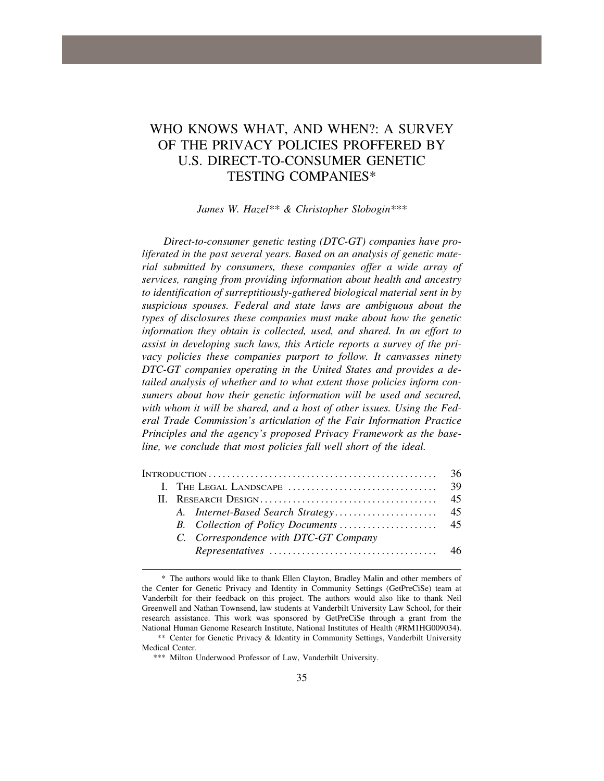# WHO KNOWS WHAT, AND WHEN?: A SURVEY OF THE PRIVACY POLICIES PROFFERED BY U.S. DIRECT-TO-CONSUMER GENETIC TESTING COMPANIES\*

#### *James W. Hazel\*\* & Christopher Slobogin\*\*\**

*Direct-to-consumer genetic testing (DTC-GT) companies have proliferated in the past several years. Based on an analysis of genetic material submitted by consumers, these companies offer a wide array of services, ranging from providing information about health and ancestry to identification of surreptitiously-gathered biological material sent in by suspicious spouses. Federal and state laws are ambiguous about the types of disclosures these companies must make about how the genetic information they obtain is collected, used, and shared. In an effort to assist in developing such laws, this Article reports a survey of the pri*vacy policies these companies purport to follow. It canvasses ninety *DTC-GT companies operating in the United States and provides a detailed analysis of whether and to what extent those policies inform consumers about how their genetic information will be used and secured, with whom it will be shared, and a host of other issues. Using the Federal Trade Commission's articulation of the Fair Information Practice Principles and the agency's proposed Privacy Framework as the baseline, we conclude that most policies fall well short of the ideal.* 

| C. Correspondence with DTC-GT Company |  |  | 36 |
|---------------------------------------|--|--|----|
|                                       |  |  |    |
|                                       |  |  |    |
|                                       |  |  |    |
|                                       |  |  |    |
|                                       |  |  |    |
|                                       |  |  |    |

<sup>\*</sup> The authors would like to thank Ellen Clayton, Bradley Malin and other members of the Center for Genetic Privacy and Identity in Community Settings (GetPreCiSe) team at Vanderbilt for their feedback on this project. The authors would also like to thank Neil Greenwell and Nathan Townsend, law students at Vanderbilt University Law School, for their research assistance. This work was sponsored by GetPreCiSe through a grant from the National Human Genome Research Institute, National Institutes of Health (#RM1HG009034).

<sup>\*\*</sup> Center for Genetic Privacy & Identity in Community Settings, Vanderbilt University Medical Center.

<sup>\*\*\*</sup> Milton Underwood Professor of Law, Vanderbilt University.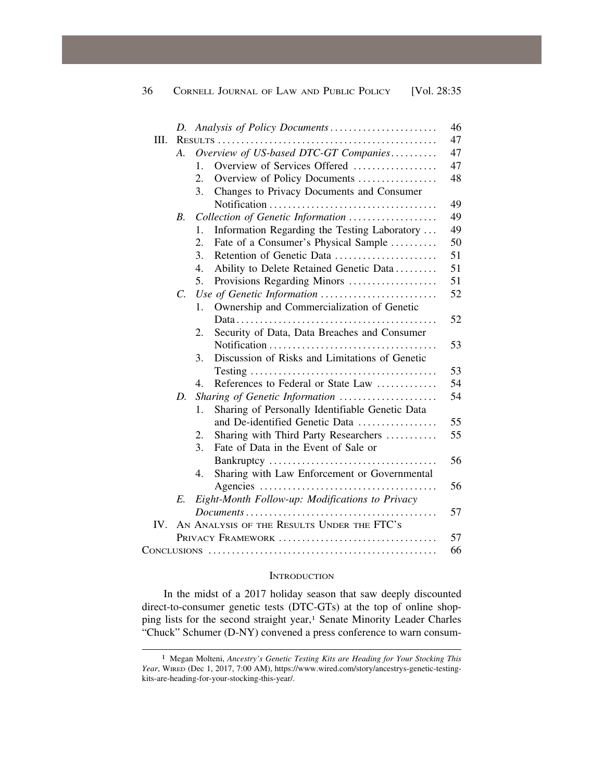|          |             | D. Analysis of Policy Documents                                                                         |  |
|----------|-------------|---------------------------------------------------------------------------------------------------------|--|
| III.     |             |                                                                                                         |  |
|          | A.          | Overview of US-based DTC-GT Companies                                                                   |  |
|          |             | Overview of Services Offered<br>$\mathbf{1}$ .                                                          |  |
|          |             | 2.<br>Overview of Policy Documents                                                                      |  |
|          |             | 3.<br>Changes to Privacy Documents and Consumer                                                         |  |
|          |             |                                                                                                         |  |
|          | <i>B</i> .  | Collection of Genetic Information                                                                       |  |
|          |             | Information Regarding the Testing Laboratory<br>1.                                                      |  |
|          |             | $\overline{2}$ .<br>Fate of a Consumer's Physical Sample                                                |  |
|          |             | 3.<br>Retention of Genetic Data                                                                         |  |
|          |             | 4.<br>Ability to Delete Retained Genetic Data                                                           |  |
|          |             | 5.<br>Provisions Regarding Minors                                                                       |  |
|          | $C_{\cdot}$ | Use of Genetic Information                                                                              |  |
|          |             | Ownership and Commercialization of Genetic<br>1.                                                        |  |
|          |             |                                                                                                         |  |
|          |             | Security of Data, Data Breaches and Consumer<br>2.                                                      |  |
|          |             |                                                                                                         |  |
|          |             | Discussion of Risks and Limitations of Genetic<br>3.                                                    |  |
|          |             |                                                                                                         |  |
|          |             | References to Federal or State Law<br>4.                                                                |  |
|          | D.          | Sharing of Genetic Information                                                                          |  |
|          |             | Sharing of Personally Identifiable Genetic Data<br>1.                                                   |  |
|          |             | and De-identified Genetic Data                                                                          |  |
|          |             | Sharing with Third Party Researchers<br>2.                                                              |  |
|          |             | Fate of Data in the Event of Sale or<br>3.                                                              |  |
|          |             |                                                                                                         |  |
|          |             | 4.<br>Sharing with Law Enforcement or Governmental                                                      |  |
|          |             |                                                                                                         |  |
|          | E.          | Eight-Month Follow-up: Modifications to Privacy                                                         |  |
|          |             | $Document s \ldots \ldots \ldots \ldots \ldots \ldots \ldots \ldots \ldots \ldots \ldots \ldots \ldots$ |  |
| $IV_{-}$ |             | AN ANALYSIS OF THE RESULTS UNDER THE FTC'S                                                              |  |
|          |             | PRIVACY FRAMEWORK                                                                                       |  |
|          |             |                                                                                                         |  |

#### **INTRODUCTION**

In the midst of a 2017 holiday season that saw deeply discounted direct-to-consumer genetic tests (DTC-GTs) at the top of online shopping lists for the second straight year,<sup>1</sup> Senate Minority Leader Charles "Chuck" Schumer (D-NY) convened a press conference to warn consum-

<sup>1</sup> Megan Molteni, *Ancestry's Genetic Testing Kits are Heading for Your Stocking This Year*, WIRED (Dec 1, 2017, 7:00 AM), <https://www.wired.com/story/ancestrys-genetic-testing>kits-are-heading-for-your-stocking-this-year/.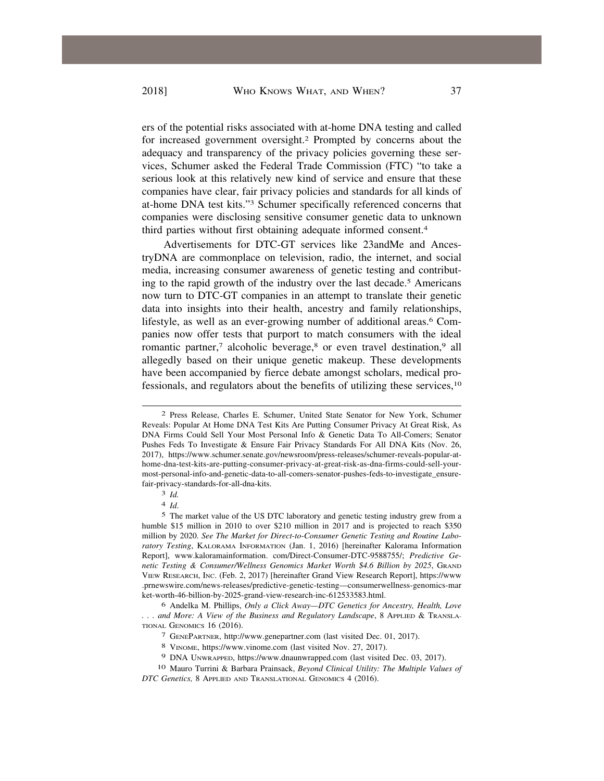ers of the potential risks associated with at-home DNA testing and called for increased government oversight.2 Prompted by concerns about the adequacy and transparency of the privacy policies governing these services, Schumer asked the Federal Trade Commission (FTC) "to take a serious look at this relatively new kind of service and ensure that these companies have clear, fair privacy policies and standards for all kinds of at-home DNA test kits."3 Schumer specifically referenced concerns that companies were disclosing sensitive consumer genetic data to unknown third parties without first obtaining adequate informed consent.4

Advertisements for DTC-GT services like 23andMe and AncestryDNA are commonplace on television, radio, the internet, and social media, increasing consumer awareness of genetic testing and contributing to the rapid growth of the industry over the last decade.5 Americans now turn to DTC-GT companies in an attempt to translate their genetic data into insights into their health, ancestry and family relationships, lifestyle, as well as an ever-growing number of additional areas.6 Companies now offer tests that purport to match consumers with the ideal romantic partner,<sup>7</sup> alcoholic beverage,<sup>8</sup> or even travel destination,<sup>9</sup> all allegedly based on their unique genetic makeup. These developments have been accompanied by fierce debate amongst scholars, medical professionals, and regulators about the benefits of utilizing these services,10

3 *Id.* 

4 *Id*.

8 VINOME, <https://www.vinome.com> (last visited Nov. 27, 2017).

<sup>2</sup> Press Release, Charles E. Schumer, United State Senator for New York, Schumer Reveals: Popular At Home DNA Test Kits Are Putting Consumer Privacy At Great Risk, As DNA Firms Could Sell Your Most Personal Info & Genetic Data To All-Comers; Senator Pushes Feds To Investigate & Ensure Fair Privacy Standards For All DNA Kits (Nov. 26, 2017), <https://www.schumer.senate.gov/newsroom/press-releases/schumer-reveals-popular-at>home-dna-test-kits-are-putting-consumer-privacy-at-great-risk-as-dna-firms-could-sell-yourmost-personal-info-and-genetic-data-to-all-comers-senator-pushes-feds-to-investigate\_ensurefair-privacy-standards-for-all-dna-kits.

<sup>5</sup> The market value of the US DTC laboratory and genetic testing industry grew from a humble \$15 million in 2010 to over \$210 million in 2017 and is projected to reach \$350 million by 2020. *See The Market for Direct-to-Consumer Genetic Testing and Routine Laboratory Testing*, KALORAMA INFORMATION (Jan. 1, 2016) [hereinafter Kalorama Information Report], [www.kaloramainformation.](www.kaloramainformation) com/Direct-Consumer-DTC-9588755/; *Predictive Genetic Testing & Consumer/Wellness Genomics Market Worth \$4.6 Billion by 2025*, GRAND VIEW RESEARCH, INC. (Feb. 2, 2017) [hereinafter Grand View Research Report], <https://www> .prnewswire.com/news-releases/predictive-genetic-testing—consumerwellness-genomics-mar ket-worth-46-billion-by-2025-grand-view-research-inc-612533583.html.

<sup>6</sup> Andelka M. Phillips, *Only a Click Away—DTC Genetics for Ancestry, Health, Love . . . and More: A View of the Business and Regulatory Landscape*, 8 APPLIED & TRANSLA-TIONAL GENOMICS 16 (2016).

<sup>7</sup> GENEPARTNER, <http://www.genepartner.com> (last visited Dec. 01, 2017).

<sup>9</sup> DNA UNWRAPPED, <https://www.dnaunwrapped.com> (last visited Dec. 03, 2017).

<sup>10</sup> Mauro Turrini & Barbara Prainsack, *Beyond Clinical Utility: The Multiple Values of DTC Genetics,* 8 APPLIED AND TRANSLATIONAL GENOMICS 4 (2016).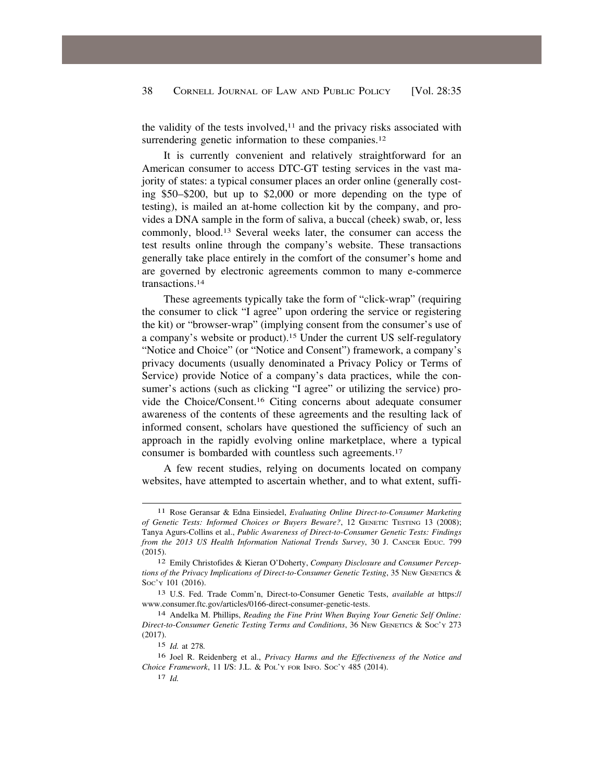the validity of the tests involved, $11$  and the privacy risks associated with surrendering genetic information to these companies.<sup>12</sup>

It is currently convenient and relatively straightforward for an American consumer to access DTC-GT testing services in the vast majority of states: a typical consumer places an order online (generally costing \$50–\$200, but up to \$2,000 or more depending on the type of testing), is mailed an at-home collection kit by the company, and provides a DNA sample in the form of saliva, a buccal (cheek) swab, or, less commonly, [blood.13](https://blood.13) Several weeks later, the consumer can access the test results online through the company's website. These transactions generally take place entirely in the comfort of the consumer's home and are governed by electronic agreements common to many e-commerce [transactions.14](https://transactions.14)

These agreements typically take the form of "click-wrap" (requiring the consumer to click "I agree" upon ordering the service or registering the kit) or "browser-wrap" (implying consent from the consumer's use of a company's website or [product\).15](https://product).15) Under the current US self-regulatory "Notice and Choice" (or "Notice and Consent") framework, a company's privacy documents (usually denominated a Privacy Policy or Terms of Service) provide Notice of a company's data practices, while the consumer's actions (such as clicking "I agree" or utilizing the service) provide the [Choice/Consent.16](https://Choice/Consent.16) Citing concerns about adequate consumer awareness of the contents of these agreements and the resulting lack of informed consent, scholars have questioned the sufficiency of such an approach in the rapidly evolving online marketplace, where a typical consumer is bombarded with countless such [agreements.17](https://agreements.17)

A few recent studies, relying on documents located on company websites, have attempted to ascertain whether, and to what extent, suffi-

<sup>11</sup> Rose Geransar & Edna Einsiedel, *Evaluating Online Direct-to-Consumer Marketing of Genetic Tests: Informed Choices or Buyers Beware?*, 12 GENETIC TESTING 13 (2008); Tanya Agurs-Collins et al., *Public Awareness of Direct-to-Consumer Genetic Tests: Findings from the 2013 US Health Information National Trends Survey*, 30 J. CANCER EDUC. 799 (2015).

<sup>12</sup> Emily Christofides & Kieran O'Doherty, *Company Disclosure and Consumer Perceptions of the Privacy Implications of Direct-to-Consumer Genetic Testing*, 35 NEW GENETICS & Soc'y 101 (2016).

<sup>13</sup> U.S. Fed. Trade Comm'n, Direct-to-Consumer Genetic Tests, *available at* https:// <www.consumer.ftc.gov/articles/0166-direct-consumer-genetic-tests>.

<sup>14</sup> Andelka M. Phillips, *Reading the Fine Print When Buying Your Genetic Self Online: Direct-to-Consumer Genetic Testing Terms and Conditions*, 36 NEW GENETICS & SOC'Y 273 (2017).

<sup>15</sup> *Id.* at 278*.* 

<sup>16</sup> Joel R. Reidenberg et al., *Privacy Harms and the Effectiveness of the Notice and Choice Framework*, 11 I/S: J.L. & POL'Y FOR INFO. SOC'Y 485 (2014).

<sup>17</sup> *Id.*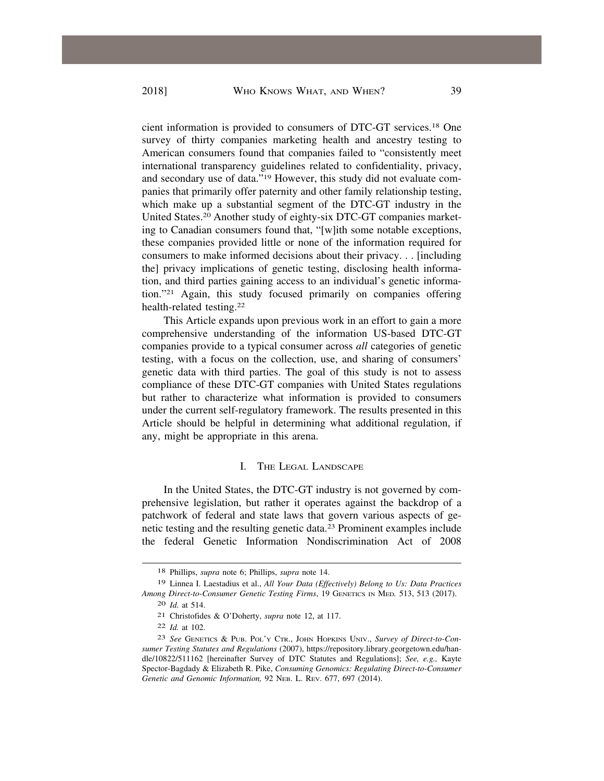cient information is provided to consumers of DTC-GT [services.18](https://services.18) One survey of thirty companies marketing health and ancestry testing to American consumers found that companies failed to "consistently meet international transparency guidelines related to confidentiality, privacy, and secondary use of data."19 However, this study did not evaluate companies that primarily offer paternity and other family relationship testing, which make up a substantial segment of the DTC-GT industry in the United [States.20](https://States.20) Another study of eighty-six DTC-GT companies marketing to Canadian consumers found that, "[w]ith some notable exceptions, these companies provided little or none of the information required for consumers to make informed decisions about their privacy. . . [including the] privacy implications of genetic testing, disclosing health information, and third parties gaining access to an individual's genetic information."21 Again, this study focused primarily on companies offering health-related [testing.22](https://testing.22)

This Article expands upon previous work in an effort to gain a more comprehensive understanding of the information US-based DTC-GT companies provide to a typical consumer across *all* categories of genetic testing, with a focus on the collection, use, and sharing of consumers' genetic data with third parties. The goal of this study is not to assess compliance of these DTC-GT companies with United States regulations but rather to characterize what information is provided to consumers under the current self-regulatory framework. The results presented in this Article should be helpful in determining what additional regulation, if any, might be appropriate in this arena.

## I. THE LEGAL LANDSCAPE

In the United States, the DTC-GT industry is not governed by comprehensive legislation, but rather it operates against the backdrop of a patchwork of federal and state laws that govern various aspects of genetic testing and the resulting genetic data.23 Prominent examples include the federal Genetic Information Nondiscrimination Act of 2008

<sup>18</sup> Phillips, *supra* note 6; Phillips, *supra* note 14.

<sup>19</sup> Linnea I. Laestadius et al., *All Your Data (Effectively) Belong to Us: Data Practices Among Direct-to-Consumer Genetic Testing Firms*, 19 GENETICS IN MED*.* 513, 513 (2017).

<sup>20</sup> *Id.* at 514.

<sup>21</sup> Christofides & O'Doherty, *supra* note 12, at 117.

<sup>22</sup> *Id.* at 102.

<sup>23</sup> *See* GENETICS & PUB. POL'Y CTR., JOHN HOPKINS UNIV., *Survey of Direct-to-Consumer Testing Statutes and Regulations* (2007), <https://repository.library.georgetown.edu/han>dle/10822/511162 [hereinafter Survey of DTC Statutes and Regulations]; *See, e.g.,* Kayte Spector-Bagdady & Elizabeth R. Pike, *Consuming Genomics: Regulating Direct-to-Consumer Genetic and Genomic Information,* 92 NEB. L. REV. 677, 697 (2014).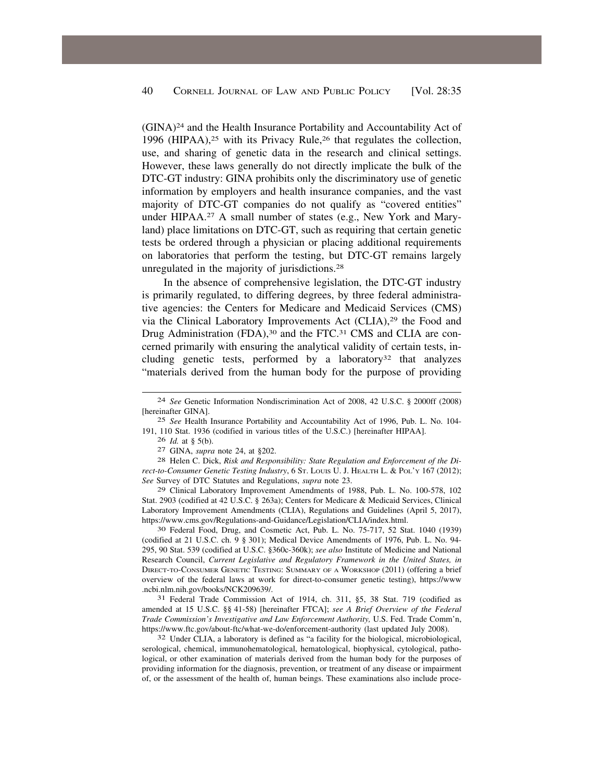(GINA)24 and the Health Insurance Portability and Accountability Act of 1996 (HIPAA),25 with its Privacy Rule,26 that regulates the collection, use, and sharing of genetic data in the research and clinical settings. However, these laws generally do not directly implicate the bulk of the DTC-GT industry: GINA prohibits only the discriminatory use of genetic information by employers and health insurance companies, and the vast majority of DTC-GT companies do not qualify as "covered entities" under [HIPAA.27](https://HIPAA.27) A small number of states (e.g., New York and Maryland) place limitations on DTC-GT, such as requiring that certain genetic tests be ordered through a physician or placing additional requirements on laboratories that perform the testing, but DTC-GT remains largely unregulated in the majority of [jurisdictions.28](https://jurisdictions.28) 

In the absence of comprehensive legislation, the DTC-GT industry is primarily regulated, to differing degrees, by three federal administrative agencies: the Centers for Medicare and Medicaid Services (CMS) via the Clinical Laboratory Improvements Act (CLIA),<sup>29</sup> the Food and Drug Administration (FDA),<sup>30</sup> and the FTC.<sup>31</sup> CMS and CLIA are concerned primarily with ensuring the analytical validity of certain tests, including genetic tests, performed by a laboratory<sup>32</sup> that analyzes "materials derived from the human body for the purpose of providing

29 Clinical Laboratory Improvement Amendments of 1988, Pub. L. No. 100-578, 102 Stat. 2903 (codified at 42 U.S.C. § 263a); Centers for Medicare & Medicaid Services, Clinical Laboratory Improvement Amendments (CLIA), Regulations and Guidelines (April 5, 2017), [https://www.cms.gov/Regulations-and-Guidance/Legislation/CLIA/index.html.](https://www.cms.gov/Regulations-and-Guidance/Legislation/CLIA/index.html) 30 Federal Food, Drug, and Cosmetic Act, Pub. L. No. 75-717, 52 Stat. 1040 (1939)

(codified at 21 U.S.C. ch. 9 § 301); Medical Device Amendments of 1976, Pub. L. No. 94- 295, 90 Stat. 539 (codified at U.S.C. §360c-360k); *see also* Institute of Medicine and National Research Council, *Current Legislative and Regulatory Framework in the United States, in*  DIRECT-TO-CONSUMER GENETIC TESTING: SUMMARY OF A WORKSHOP (2011) (offering a brief overview of the federal laws at work for direct-to-consumer genetic testing), <https://www> [.ncbi.nlm.nih.gov/books/NCK209639](https://ncbi.nlm.nih.gov/books/NCK209639)/. 31 Federal Trade Commission Act of 1914, ch. 311, §5, 38 Stat. 719 (codified as

amended at 15 U.S.C. §§ 41-58) [hereinafter FTCA]; *see A Brief Overview of the Federal Trade Commission's Investigative and Law Enforcement Authority,* U.S. Fed. Trade Comm'n, <https://www.ftc.gov/about-ftc/what-we-do/enforcement-authority> (last updated July 2008).<br><sup>32</sup> Under CLIA, a laboratory is defined as "a facility for the biological, microbiological,

serological, chemical, immunohematological, hematological, biophysical, cytological, pathological, or other examination of materials derived from the human body for the purposes of providing information for the diagnosis, prevention, or treatment of any disease or impairment of, or the assessment of the health of, human beings. These examinations also include proce-

<sup>24</sup> *See* Genetic Information Nondiscrimination Act of 2008, 42 U.S.C. § 2000ff (2008) [hereinafter GINA].

<sup>25</sup> *See* Health Insurance Portability and Accountability Act of 1996, Pub. L. No. 104- 191, 110 Stat. 1936 (codified in various titles of the U.S.C.) [hereinafter HIPAA]. <sup>26</sup> *Id.* at § 5(b).

<sup>&</sup>lt;sup>27</sup> GINA, *supra* note 24, at §202.<br><sup>28</sup> Helen C. Dick, *Risk and Responsibility: State Regulation and Enforcement of the Direct-to-Consumer Genetic Testing Industry*, 6 St. Louis U. J. HEALTH L. & Pol'y 167 (2012); *See* Survey of DTC Statutes and Regulations, *supra* note 23.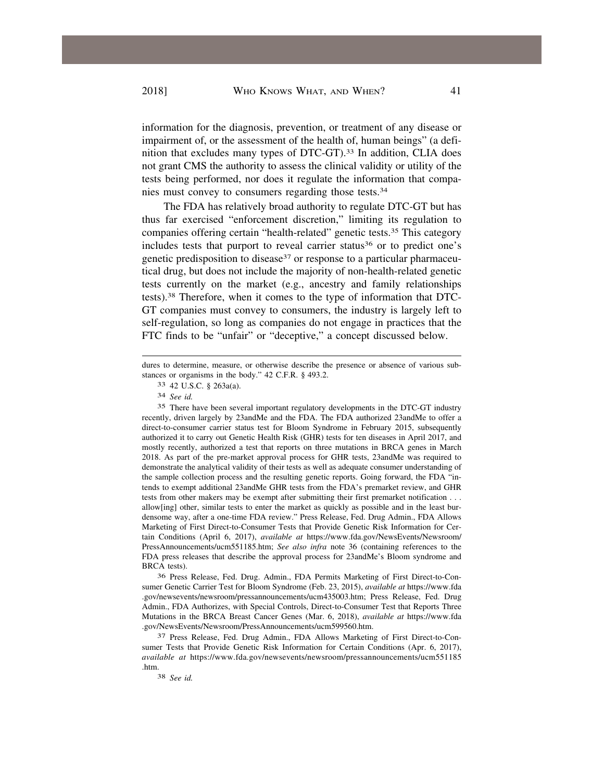information for the diagnosis, prevention, or treatment of any disease or impairment of, or the assessment of the health of, human beings" (a definition that excludes many types of [DTC-GT\).33](https://DTC-GT).33) In addition, CLIA does not grant CMS the authority to assess the clinical validity or utility of the tests being performed, nor does it regulate the information that companies must convey to consumers regarding those [tests.34](https://tests.34)

The FDA has relatively broad authority to regulate DTC-GT but has thus far exercised "enforcement discretion," limiting its regulation to companies offering certain "health-related" genetic [tests.35](https://tests.35) This category includes tests that purport to reveal carrier status<sup>36</sup> or to predict one's genetic predisposition to disease<sup>37</sup> or response to a particular pharmaceutical drug, but does not include the majority of non-health-related genetic tests currently on the market (e.g., ancestry and family relationships [tests\).38](https://tests).38) Therefore, when it comes to the type of information that DTC-GT companies must convey to consumers, the industry is largely left to self-regulation, so long as companies do not engage in practices that the FTC finds to be "unfair" or "deceptive," a concept discussed below.

35 There have been several important regulatory developments in the DTC-GT industry recently, driven largely by 23andMe and the FDA. The FDA authorized 23andMe to offer a direct-to-consumer carrier status test for Bloom Syndrome in February 2015, subsequently authorized it to carry out Genetic Health Risk (GHR) tests for ten diseases in April 2017, and mostly recently, authorized a test that reports on three mutations in BRCA genes in March 2018. As part of the pre-market approval process for GHR tests, 23andMe was required to demonstrate the analytical validity of their tests as well as adequate consumer understanding of the sample collection process and the resulting genetic reports. Going forward, the FDA "intends to exempt additional 23andMe GHR tests from the FDA's premarket review, and GHR tests from other makers may be exempt after submitting their first premarket notification . . . allow[ing] other, similar tests to enter the market as quickly as possible and in the least burdensome way, after a one-time FDA review." Press Release, Fed. Drug Admin., FDA Allows Marketing of First Direct-to-Consumer Tests that Provide Genetic Risk Information for Certain Conditions (April 6, 2017), *available at* [https://www.fda.gov/NewsEvents/Newsroom/](https://www.fda.gov/NewsEvents/Newsroom) PressAnnouncements/ucm551185.htm; *See also infra* note 36 (containing references to the FDA press releases that describe the approval process for 23andMe's Bloom syndrome and BRCA tests).

36 Press Release, Fed. Drug. Admin., FDA Permits Marketing of First Direct-to-Consumer Genetic Carrier Test for Bloom Syndrome (Feb. 23, 2015), *available at* <https://www.fda> .gov/newsevents/newsroom/pressannouncements/ucm435003.htm; Press Release, Fed. Drug Admin., FDA Authorizes, with Special Controls, Direct-to-Consumer Test that Reports Three Mutations in the BRCA Breast Cancer Genes (Mar. 6, 2018), *available at* <https://www.fda> .gov/NewsEvents/Newsroom/PressAnnouncements/ucm599560.htm.

37 Press Release, Fed. Drug Admin., FDA Allows Marketing of First Direct-to-Consumer Tests that Provide Genetic Risk Information for Certain Conditions (Apr. 6, 2017), *available at* <https://www.fda.gov/newsevents/newsroom/pressannouncements/ucm551185> .htm.

38 *See id.* 

dures to determine, measure, or otherwise describe the presence or absence of various substances or organisms in the body." 42 C.F.R. § 493.2.

<sup>33 42</sup> U.S.C. § 263a(a).

<sup>34</sup> *See id.*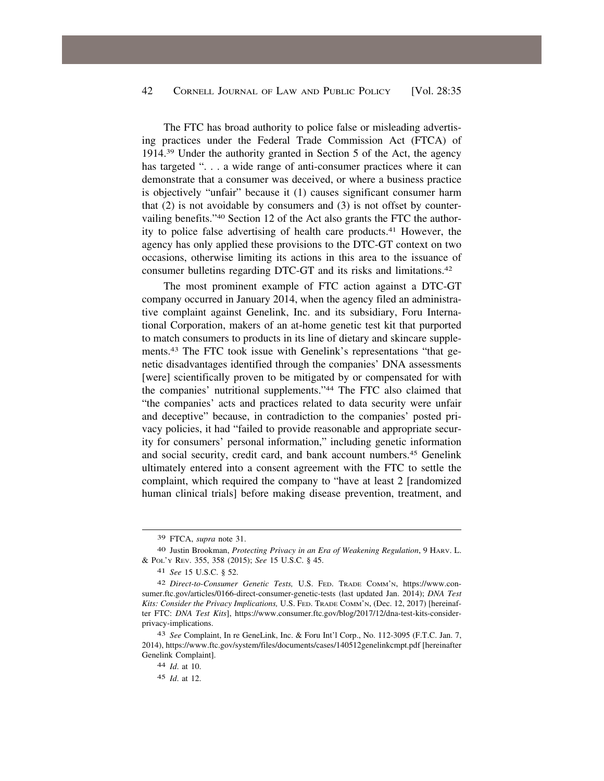The FTC has broad authority to police false or misleading advertising practices under the Federal Trade Commission Act (FTCA) of 1914.39 Under the authority granted in Section 5 of the Act, the agency has targeted "... a wide range of anti-consumer practices where it can demonstrate that a consumer was deceived, or where a business practice is objectively "unfair" because it (1) causes significant consumer harm that (2) is not avoidable by consumers and (3) is not offset by countervailing benefits."40 Section 12 of the Act also grants the FTC the authority to police false advertising of health care [products.41](https://products.41) However, the agency has only applied these provisions to the DTC-GT context on two occasions, otherwise limiting its actions in this area to the issuance of consumer bulletins regarding DTC-GT and its risks and [limitations.42](https://limitations.42) 

The most prominent example of FTC action against a DTC-GT company occurred in January 2014, when the agency filed an administrative complaint against Genelink, Inc. and its subsidiary, Foru International Corporation, makers of an at-home genetic test kit that purported to match consumers to products in its line of dietary and skincare supple[ments.43](https://ments.43) The FTC took issue with Genelink's representations "that genetic disadvantages identified through the companies' DNA assessments [were] scientifically proven to be mitigated by or compensated for with the companies' nutritional supplements."44 The FTC also claimed that "the companies' acts and practices related to data security were unfair and deceptive" because, in contradiction to the companies' posted privacy policies, it had "failed to provide reasonable and appropriate security for consumers' personal information," including genetic information and social security, credit card, and bank account [numbers.45](https://numbers.45) Genelink ultimately entered into a consent agreement with the FTC to settle the complaint, which required the company to "have at least 2 [randomized human clinical trials] before making disease prevention, treatment, and

<sup>39</sup> FTCA, *supra* note 31.

<sup>40</sup> Justin Brookman, *Protecting Privacy in an Era of Weakening Regulation*, 9 HARV. L. & POL'Y REV. 355, 358 (2015); *See* 15 U.S.C. § 45.

<sup>41</sup> *See* 15 U.S.C. § 52.

<sup>42</sup> *Direct-to-Consumer Genetic Tests,* U.S. FED. TRADE COMM'N, <https://www.con>[sumer.ftc.gov/articles/0166-direct-consumer-genetic-tests](https://sumer.ftc.gov/articles/0166-direct-consumer-genetic-tests) (last updated Jan. 2014); *DNA Test Kits: Consider the Privacy Implications,* U.S. FED. TRADE COMM'N, (Dec. 12, 2017) [hereinafter FTC: *DNA Test Kits*], <https://www.consumer.ftc.gov/blog/2017/12/dna-test-kits-consider>privacy-implications.

<sup>43</sup> *See* Complaint, In re GeneLink, Inc. & Foru Int'l Corp., No. 112-3095 (F.T.C. Jan. 7, 2014),<https://www.ftc.gov/system/files/documents/cases/140512genelinkcmpt.pdf> [hereinafter Genelink Complaint].

<sup>44</sup> *Id*. at 10.

<sup>45</sup> *Id*. at 12.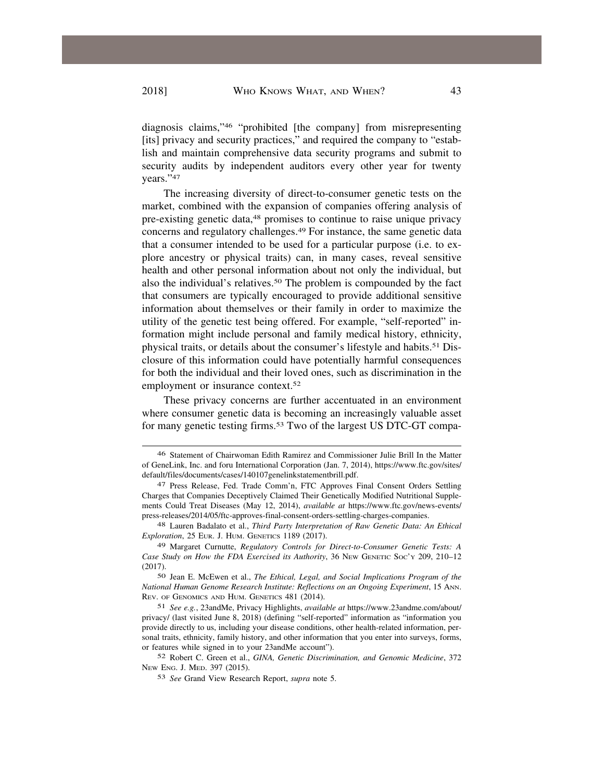diagnosis claims,"46 "prohibited [the company] from misrepresenting [its] privacy and security practices," and required the company to "establish and maintain comprehensive data security programs and submit to security audits by independent auditors every other year for twenty years."47

The increasing diversity of direct-to-consumer genetic tests on the market, combined with the expansion of companies offering analysis of pre-existing genetic data,<sup>48</sup> promises to continue to raise unique privacy concerns and regulatory [challenges.49](https://challenges.49) For instance, the same genetic data that a consumer intended to be used for a particular purpose (i.e. to explore ancestry or physical traits) can, in many cases, reveal sensitive health and other personal information about not only the individual, but also the individual's [relatives.50](https://relatives.50) The problem is compounded by the fact that consumers are typically encouraged to provide additional sensitive information about themselves or their family in order to maximize the utility of the genetic test being offered. For example, "self-reported" information might include personal and family medical history, ethnicity, physical traits, or details about the consumer's lifestyle and [habits.51](https://habits.51) Disclosure of this information could have potentially harmful consequences for both the individual and their loved ones, such as discrimination in the employment or insurance context.<sup>52</sup>

These privacy concerns are further accentuated in an environment where consumer genetic data is becoming an increasingly valuable asset for many genetic testing [firms.53](https://firms.53) Two of the largest US DTC-GT compa-

50 Jean E. McEwen et al., *The Ethical, Legal, and Social Implications Program of the National Human Genome Research Institute: Reflections on an Ongoing Experiment*, 15 ANN. REV. OF GENOMICS AND HUM. GENETICS 481 (2014).

<sup>46</sup> Statement of Chairwoman Edith Ramirez and Commissioner Julie Brill In the Matter of GeneLink, Inc. and foru International Corporation (Jan. 7, 2014), [https://www.ftc.gov/sites/](https://www.ftc.gov/sites) default/files/documents/cases/140107genelinkstatementbrill.pdf.

<sup>47</sup> Press Release, Fed. Trade Comm'n, FTC Approves Final Consent Orders Settling Charges that Companies Deceptively Claimed Their Genetically Modified Nutritional Supplements Could Treat Diseases (May 12, 2014), *available at* [https://www.ftc.gov/news-events/](https://www.ftc.gov/news-events) press-releases/2014/05/ftc-approves-final-consent-orders-settling-charges-companies.

<sup>48</sup> Lauren Badalato et al., *Third Party Interpretation of Raw Genetic Data: An Ethical Exploration*, 25 EUR. J. HUM. GENETICS 1189 (2017).

<sup>49</sup> Margaret Curnutte, *Regulatory Controls for Direct-to-Consumer Genetic Tests: A Case Study on How the FDA Exercised its Authority*, 36 NEW GENETIC SOC'Y 209, 210–12 (2017).

<sup>51</sup> *See e.g.*, 23andMe, Privacy Highlights, *available at* [https://www.23andme.com/about/](https://www.23andme.com/about) privacy/ (last visited June 8, 2018) (defining "self-reported" information as "information you provide directly to us, including your disease conditions, other health-related information, personal traits, ethnicity, family history, and other information that you enter into surveys, forms, or features while signed in to your 23andMe account").

<sup>52</sup> Robert C. Green et al., *GINA, Genetic Discrimination, and Genomic Medicine*, 372 NEW ENG. J. MED. 397 (2015).

<sup>53</sup> *See* Grand View Research Report, *supra* note 5.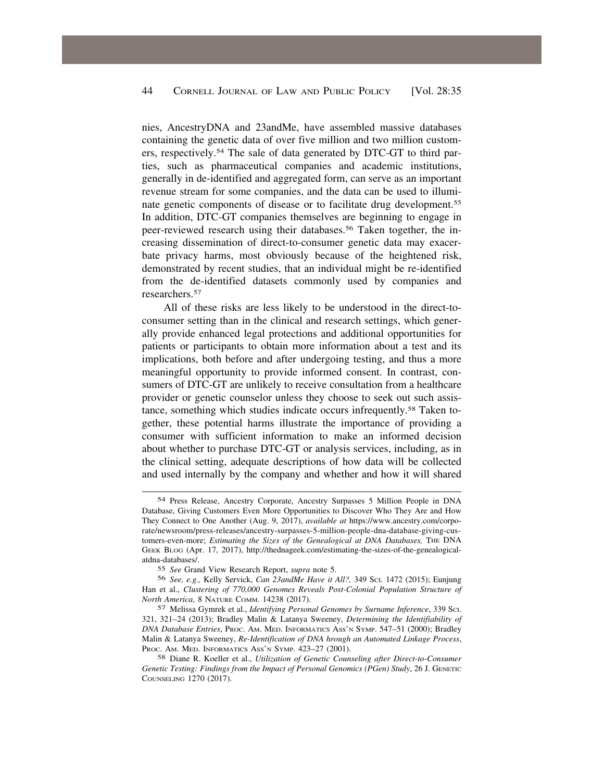nies, AncestryDNA and 23andMe, have assembled massive databases containing the genetic data of over five million and two million customers, [respectively.54](https://respectively.54) The sale of data generated by DTC-GT to third parties, such as pharmaceutical companies and academic institutions, generally in de-identified and aggregated form, can serve as an important revenue stream for some companies, and the data can be used to illuminate genetic components of disease or to facilitate drug [development.55](https://development.55)  In addition, DTC-GT companies themselves are beginning to engage in peer-reviewed research using their [databases.56](https://databases.56) Taken together, the increasing dissemination of direct-to-consumer genetic data may exacerbate privacy harms, most obviously because of the heightened risk, demonstrated by recent studies, that an individual might be re-identified from the de-identified datasets commonly used by companies and [researchers.57](https://researchers.57)

All of these risks are less likely to be understood in the direct-toconsumer setting than in the clinical and research settings, which generally provide enhanced legal protections and additional opportunities for patients or participants to obtain more information about a test and its implications, both before and after undergoing testing, and thus a more meaningful opportunity to provide informed consent. In contrast, consumers of DTC-GT are unlikely to receive consultation from a healthcare provider or genetic counselor unless they choose to seek out such assistance, something which studies indicate occurs [infrequently.58](https://infrequently.58) Taken together, these potential harms illustrate the importance of providing a consumer with sufficient information to make an informed decision about whether to purchase DTC-GT or analysis services, including, as in the clinical setting, adequate descriptions of how data will be collected and used internally by the company and whether and how it will shared

<sup>54</sup> Press Release, Ancestry Corporate, Ancestry Surpasses 5 Million People in DNA Database, Giving Customers Even More Opportunities to Discover Who They Are and How They Connect to One Another (Aug. 9, 2017), *available at* <https://www.ancestry.com/corpo>rate/newsroom/press-releases/ancestry-surpasses-5-million-people-dna-database-giving-customers-even-more; *Estimating the Sizes of the Genealogical at DNA Databases,* THE DNA GEEK BLOG (Apr. 17, 2017), <http://thednageek.com/estimating-the-sizes-of-the-genealogical>atdna-databases/.

<sup>55</sup> *See* Grand View Research Report, *supra* note 5.

<sup>56</sup> *See, e.g.,* Kelly Servick, *Can 23andMe Have it All?,* 349 SCI. 1472 (2015); Eunjung Han et al., *Clustering of 770,000 Genomes Reveals Post-Colonial Population Structure of North America*, 8 NATURE COMM. 14238 (2017).

<sup>57</sup> Melissa Gymrek et al., *Identifying Personal Genomes by Surname Inference*, 339 SCI. 321, 321–24 (2013); Bradley Malin & Latanya Sweeney, *Determining the Identifiability of DNA Database Entries*, PROC. AM. MED. INFORMATICS ASS'N SYMP. 547–51 (2000); Bradley Malin & Latanya Sweeney, *Re-Identification of DNA hrough an Automated Linkage Process*, PROC. AM. MED. INFORMATICS ASS'N SYMP. 423–27 (2001).

<sup>58</sup> Diane R. Koeller et al., *Utilization of Genetic Counseling after Direct-to-Consumer Genetic Testing: Findings from the Impact of Personal Genomics (PGen) Study*, 26 J. GENETIC COUNSELING 1270 (2017).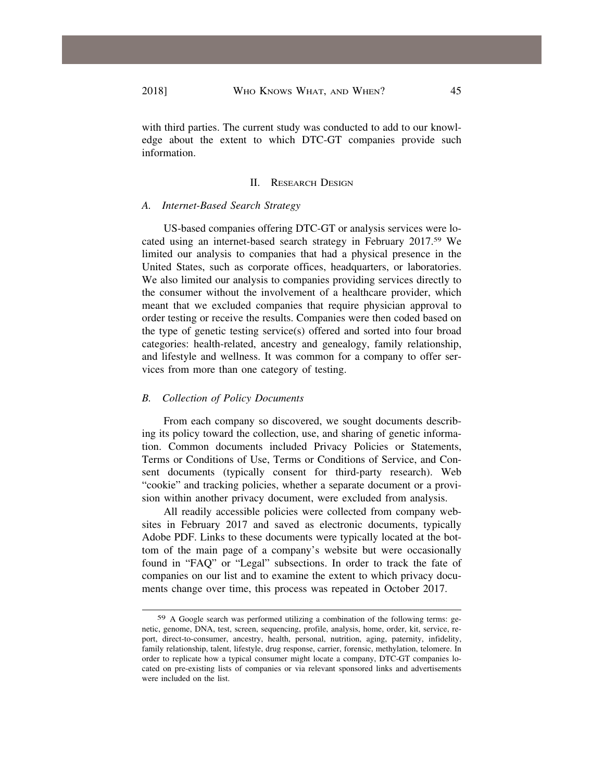with third parties. The current study was conducted to add to our knowledge about the extent to which DTC-GT companies provide such information.

#### II. RESEARCH DESIGN

#### *A. Internet-Based Search Strategy*

US-based companies offering DTC-GT or analysis services were located using an internet-based search strategy in February 2017.59 We limited our analysis to companies that had a physical presence in the United States, such as corporate offices, headquarters, or laboratories. We also limited our analysis to companies providing services directly to the consumer without the involvement of a healthcare provider, which meant that we excluded companies that require physician approval to order testing or receive the results. Companies were then coded based on the type of genetic testing service(s) offered and sorted into four broad categories: health-related, ancestry and genealogy, family relationship, and lifestyle and wellness. It was common for a company to offer services from more than one category of testing.

#### *B. Collection of Policy Documents*

From each company so discovered, we sought documents describing its policy toward the collection, use, and sharing of genetic information. Common documents included Privacy Policies or Statements, Terms or Conditions of Use, Terms or Conditions of Service, and Consent documents (typically consent for third-party research). Web "cookie" and tracking policies, whether a separate document or a provision within another privacy document, were excluded from analysis.

All readily accessible policies were collected from company websites in February 2017 and saved as electronic documents, typically Adobe PDF. Links to these documents were typically located at the bottom of the main page of a company's website but were occasionally found in "FAQ" or "Legal" subsections. In order to track the fate of companies on our list and to examine the extent to which privacy documents change over time, this process was repeated in October 2017.

<sup>59</sup> A Google search was performed utilizing a combination of the following terms: genetic, genome, DNA, test, screen, sequencing, profile, analysis, home, order, kit, service, report, direct-to-consumer, ancestry, health, personal, nutrition, aging, paternity, infidelity, family relationship, talent, lifestyle, drug response, carrier, forensic, methylation, telomere. In order to replicate how a typical consumer might locate a company, DTC-GT companies located on pre-existing lists of companies or via relevant sponsored links and advertisements were included on the list.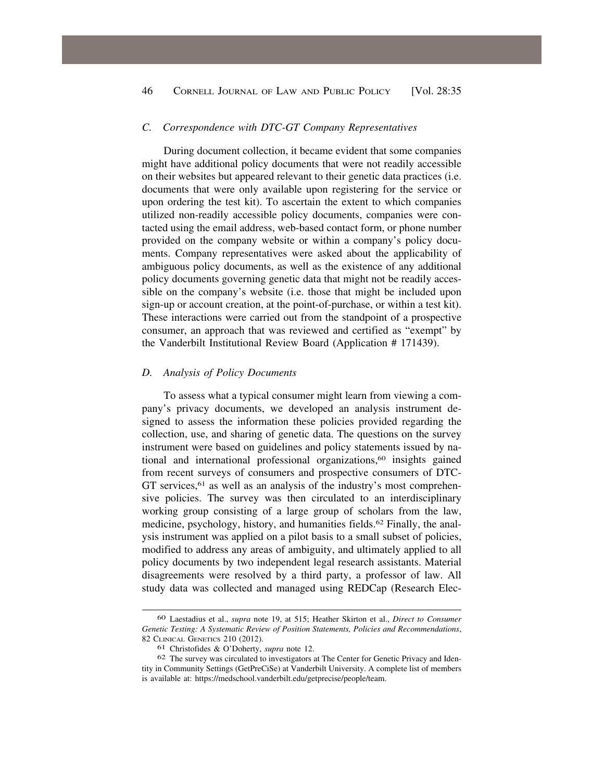## <span id="page-11-0"></span>*C. Correspondence with DTC-GT Company Representatives*

During document collection, it became evident that some companies might have additional policy documents that were not readily accessible on their websites but appeared relevant to their genetic data practices (i.e. documents that were only available upon registering for the service or upon ordering the test kit). To ascertain the extent to which companies utilized non-readily accessible policy documents, companies were contacted using the email address, web-based contact form, or phone number provided on the company website or within a company's policy documents. Company representatives were asked about the applicability of ambiguous policy documents, as well as the existence of any additional policy documents governing genetic data that might not be readily accessible on the company's website (i.e. those that might be included upon sign-up or account creation, at the point-of-purchase, or within a test kit). These interactions were carried out from the standpoint of a prospective consumer, an approach that was reviewed and certified as "exempt" by the Vanderbilt Institutional Review Board (Application # 171439).

## *D. Analysis of Policy Documents*

To assess what a typical consumer might learn from viewing a company's privacy documents, we developed an analysis instrument designed to assess the information these policies provided regarding the collection, use, and sharing of genetic data. The questions on the survey instrument were based on guidelines and policy statements issued by national and international professional organizations,<sup>60</sup> insights gained from recent surveys of consumers and prospective consumers of DTC-GT services,<sup>61</sup> as well as an analysis of the industry's most comprehensive policies. The survey was then circulated to an interdisciplinary working group consisting of a large group of scholars from the law, medicine, psychology, history, and humanities fields.<sup>62</sup> Finally, the analysis instrument was applied on a pilot basis to a small subset of policies, modified to address any areas of ambiguity, and ultimately applied to all policy documents by two independent legal research assistants. Material disagreements were resolved by a third party, a professor of law. All study data was collected and managed using REDCap (Research Elec-

<sup>60</sup> Laestadius et al., *supra* note 19, at 515; Heather Skirton et al., *Direct to Consumer Genetic Testing: A Systematic Review of Position Statements, Policies and Recommendations*, 82 CLINICAL GENETICS 210 (2012).

<sup>61</sup> Christofides & O'Doherty, *supra* note 12.

<sup>62</sup> The survey was circulated to investigators at The Center for Genetic Privacy and Identity in Community Settings (GetPreCiSe) at Vanderbilt University. A complete list of members is available at: [https://medschool.vanderbilt.edu/getprecise/people/team.](https://medschool.vanderbilt.edu/getprecise/people/team)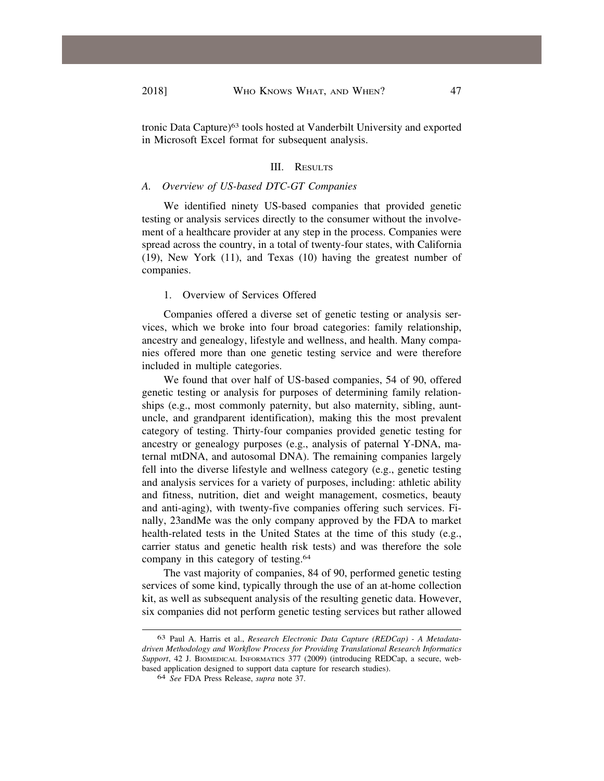tronic Data Capture)63 tools hosted at Vanderbilt University and exported in Microsoft Excel format for subsequent analysis.

#### III. RESULTS

## *A. Overview of US-based DTC-GT Companies*

We identified ninety US-based companies that provided genetic testing or analysis services directly to the consumer without the involvement of a healthcare provider at any step in the process. Companies were spread across the country, in a total of twenty-four states, with California (19), New York (11), and Texas (10) having the greatest number of companies.

## 1. Overview of Services Offered

Companies offered a diverse set of genetic testing or analysis services, which we broke into four broad categories: family relationship, ancestry and genealogy, lifestyle and wellness, and health. Many companies offered more than one genetic testing service and were therefore included in multiple categories.

We found that over half of US-based companies, 54 of 90, offered genetic testing or analysis for purposes of determining family relationships (e.g., most commonly paternity, but also maternity, sibling, auntuncle, and grandparent identification), making this the most prevalent category of testing. Thirty-four companies provided genetic testing for ancestry or genealogy purposes (e.g., analysis of paternal Y-DNA, maternal mtDNA, and autosomal DNA). The remaining companies largely fell into the diverse lifestyle and wellness category (e.g., genetic testing and analysis services for a variety of purposes, including: athletic ability and fitness, nutrition, diet and weight management, cosmetics, beauty and anti-aging), with twenty-five companies offering such services. Finally, 23andMe was the only company approved by the FDA to market health-related tests in the United States at the time of this study (e.g., carrier status and genetic health risk tests) and was therefore the sole company in this category of [testing.64](https://testing.64)

The vast majority of companies, 84 of 90, performed genetic testing services of some kind, typically through the use of an at-home collection kit, as well as subsequent analysis of the resulting genetic data. However, six companies did not perform genetic testing services but rather allowed

<sup>63</sup> Paul A. Harris et al., *Research Electronic Data Capture (REDCap) - A Metadatadriven Methodology and Workflow Process for Providing Translational Research Informatics Support*, 42 J. BIOMEDICAL INFORMATICS 377 (2009) (introducing REDCap, a secure, webbased application designed to support data capture for research studies).

<sup>64</sup> *See* FDA Press Release, *supra* note 37.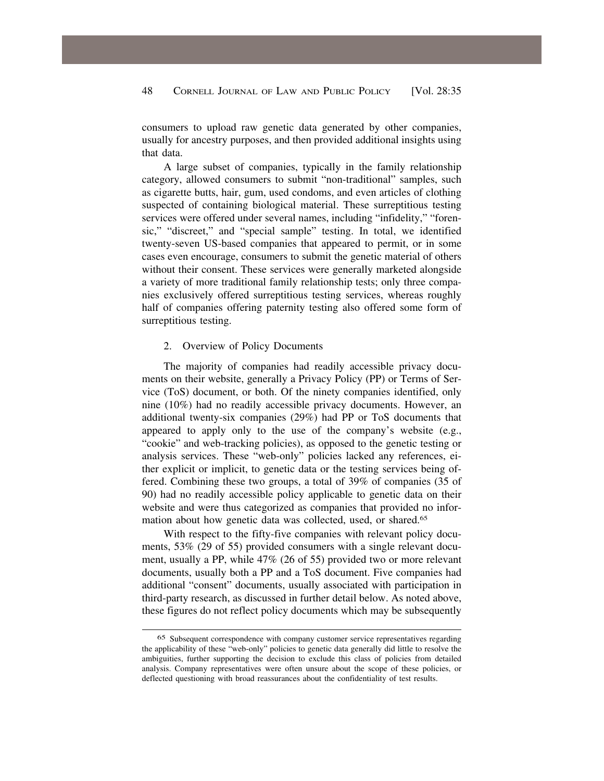<span id="page-13-0"></span>consumers to upload raw genetic data generated by other companies, usually for ancestry purposes, and then provided additional insights using that data.

A large subset of companies, typically in the family relationship category, allowed consumers to submit "non-traditional" samples, such as cigarette butts, hair, gum, used condoms, and even articles of clothing suspected of containing biological material. These surreptitious testing services were offered under several names, including "infidelity," "forensic," "discreet," and "special sample" testing. In total, we identified twenty-seven US-based companies that appeared to permit, or in some cases even encourage, consumers to submit the genetic material of others without their consent. These services were generally marketed alongside a variety of more traditional family relationship tests; only three companies exclusively offered surreptitious testing services, whereas roughly half of companies offering paternity testing also offered some form of surreptitious testing.

## 2. Overview of Policy Documents

The majority of companies had readily accessible privacy documents on their website, generally a Privacy Policy (PP) or Terms of Service (ToS) document, or both. Of the ninety companies identified, only nine (10%) had no readily accessible privacy documents. However, an additional twenty-six companies (29%) had PP or ToS documents that appeared to apply only to the use of the company's website (e.g., "cookie" and web-tracking policies), as opposed to the genetic testing or analysis services. These "web-only" policies lacked any references, either explicit or implicit, to genetic data or the testing services being offered. Combining these two groups, a total of 39% of companies (35 of 90) had no readily accessible policy applicable to genetic data on their website and were thus categorized as companies that provided no information about how genetic data was collected, used, or [shared.65](https://shared.65) 

With respect to the fifty-five companies with relevant policy documents, 53% (29 of 55) provided consumers with a single relevant document, usually a PP, while 47% (26 of 55) provided two or more relevant documents, usually both a PP and a ToS document. Five companies had additional "consent" documents, usually associated with participation in third-party research, as discussed in further detail below. As noted above, these figures do not reflect policy documents which may be subsequently

<sup>65</sup> Subsequent correspondence with company customer service representatives regarding the applicability of these "web-only" policies to genetic data generally did little to resolve the ambiguities, further supporting the decision to exclude this class of policies from detailed analysis. Company representatives were often unsure about the scope of these policies, or deflected questioning with broad reassurances about the confidentiality of test results.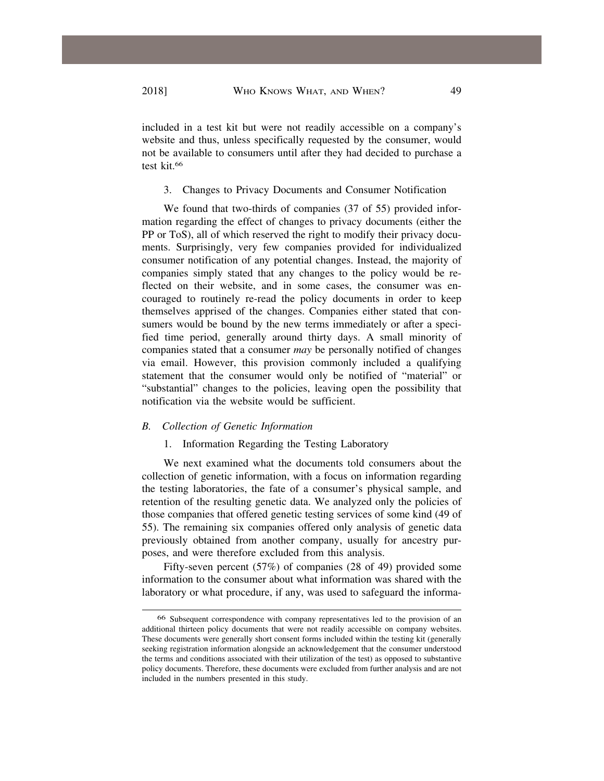included in a test kit but were not readily accessible on a company's website and thus, unless specifically requested by the consumer, would not be available to consumers until after they had decided to purchase a test kit.66

# 3. Changes to Privacy Documents and Consumer Notification

We found that two-thirds of companies (37 of 55) provided information regarding the effect of changes to privacy documents (either the PP or ToS), all of which reserved the right to modify their privacy documents. Surprisingly, very few companies provided for individualized consumer notification of any potential changes. Instead, the majority of companies simply stated that any changes to the policy would be reflected on their website, and in some cases, the consumer was encouraged to routinely re-read the policy documents in order to keep themselves apprised of the changes. Companies either stated that consumers would be bound by the new terms immediately or after a specified time period, generally around thirty days. A small minority of companies stated that a consumer *may* be personally notified of changes via email. However, this provision commonly included a qualifying statement that the consumer would only be notified of "material" or "substantial" changes to the policies, leaving open the possibility that notification via the website would be sufficient.

# *B. Collection of Genetic Information*

## 1. Information Regarding the Testing Laboratory

We next examined what the documents told consumers about the collection of genetic information, with a focus on information regarding the testing laboratories, the fate of a consumer's physical sample, and retention of the resulting genetic data. We analyzed only the policies of those companies that offered genetic testing services of some kind (49 of 55). The remaining six companies offered only analysis of genetic data previously obtained from another company, usually for ancestry purposes, and were therefore excluded from this analysis.

Fifty-seven percent (57%) of companies (28 of 49) provided some information to the consumer about what information was shared with the laboratory or what procedure, if any, was used to safeguard the informa-

<sup>66</sup> Subsequent correspondence with company representatives led to the provision of an additional thirteen policy documents that were not readily accessible on company websites. These documents were generally short consent forms included within the testing kit (generally seeking registration information alongside an acknowledgement that the consumer understood the terms and conditions associated with their utilization of the test) as opposed to substantive policy documents. Therefore, these documents were excluded from further analysis and are not included in the numbers presented in this study.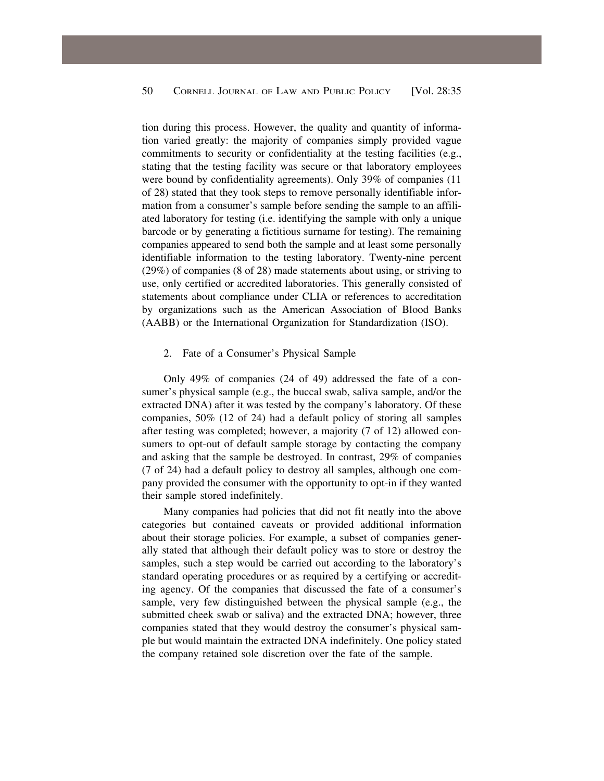<span id="page-15-0"></span>tion during this process. However, the quality and quantity of information varied greatly: the majority of companies simply provided vague commitments to security or confidentiality at the testing facilities (e.g., stating that the testing facility was secure or that laboratory employees were bound by confidentiality agreements). Only 39% of companies (11 of 28) stated that they took steps to remove personally identifiable information from a consumer's sample before sending the sample to an affiliated laboratory for testing (i.e. identifying the sample with only a unique barcode or by generating a fictitious surname for testing). The remaining companies appeared to send both the sample and at least some personally identifiable information to the testing laboratory. Twenty-nine percent (29%) of companies (8 of 28) made statements about using, or striving to use, only certified or accredited laboratories. This generally consisted of statements about compliance under CLIA or references to accreditation by organizations such as the American Association of Blood Banks (AABB) or the International Organization for Standardization (ISO).

#### 2. Fate of a Consumer's Physical Sample

Only 49% of companies (24 of 49) addressed the fate of a consumer's physical sample (e.g., the buccal swab, saliva sample, and/or the extracted DNA) after it was tested by the company's laboratory. Of these companies, 50% (12 of 24) had a default policy of storing all samples after testing was completed; however, a majority (7 of 12) allowed consumers to opt-out of default sample storage by contacting the company and asking that the sample be destroyed. In contrast, 29% of companies (7 of 24) had a default policy to destroy all samples, although one company provided the consumer with the opportunity to opt-in if they wanted their sample stored indefinitely.

Many companies had policies that did not fit neatly into the above categories but contained caveats or provided additional information about their storage policies. For example, a subset of companies generally stated that although their default policy was to store or destroy the samples, such a step would be carried out according to the laboratory's standard operating procedures or as required by a certifying or accrediting agency. Of the companies that discussed the fate of a consumer's sample, very few distinguished between the physical sample (e.g., the submitted cheek swab or saliva) and the extracted DNA; however, three companies stated that they would destroy the consumer's physical sample but would maintain the extracted DNA indefinitely. One policy stated the company retained sole discretion over the fate of the sample.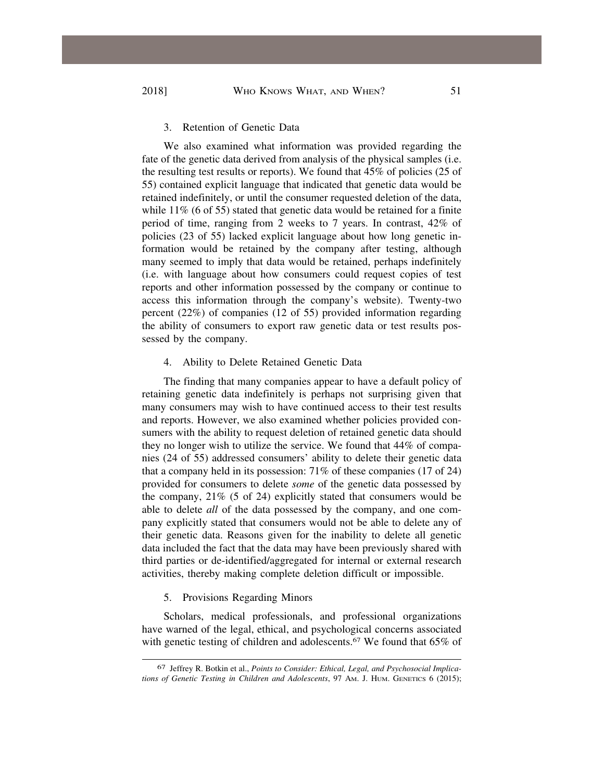## 3. Retention of Genetic Data

We also examined what information was provided regarding the fate of the genetic data derived from analysis of the physical samples (i.e. the resulting test results or reports). We found that 45% of policies (25 of 55) contained explicit language that indicated that genetic data would be retained indefinitely, or until the consumer requested deletion of the data, while 11% (6 of 55) stated that genetic data would be retained for a finite period of time, ranging from 2 weeks to 7 years. In contrast, 42% of policies (23 of 55) lacked explicit language about how long genetic information would be retained by the company after testing, although many seemed to imply that data would be retained, perhaps indefinitely (i.e. with language about how consumers could request copies of test reports and other information possessed by the company or continue to access this information through the company's website). Twenty-two percent (22%) of companies (12 of 55) provided information regarding the ability of consumers to export raw genetic data or test results possessed by the company.

## 4. Ability to Delete Retained Genetic Data

The finding that many companies appear to have a default policy of retaining genetic data indefinitely is perhaps not surprising given that many consumers may wish to have continued access to their test results and reports. However, we also examined whether policies provided consumers with the ability to request deletion of retained genetic data should they no longer wish to utilize the service. We found that 44% of companies (24 of 55) addressed consumers' ability to delete their genetic data that a company held in its possession: 71% of these companies (17 of 24) provided for consumers to delete *some* of the genetic data possessed by the company, 21% (5 of 24) explicitly stated that consumers would be able to delete *all* of the data possessed by the company, and one company explicitly stated that consumers would not be able to delete any of their genetic data. Reasons given for the inability to delete all genetic data included the fact that the data may have been previously shared with third parties or de-identified/aggregated for internal or external research activities, thereby making complete deletion difficult or impossible.

#### 5. Provisions Regarding Minors

Scholars, medical professionals, and professional organizations have warned of the legal, ethical, and psychological concerns associated with genetic testing of children and adolescents.<sup>67</sup> We found that 65% of

<sup>67</sup> Jeffrey R. Botkin et al., *Points to Consider: Ethical, Legal, and Psychosocial Implications of Genetic Testing in Children and Adolescents*, 97 AM. J. HUM. GENETICS 6 (2015);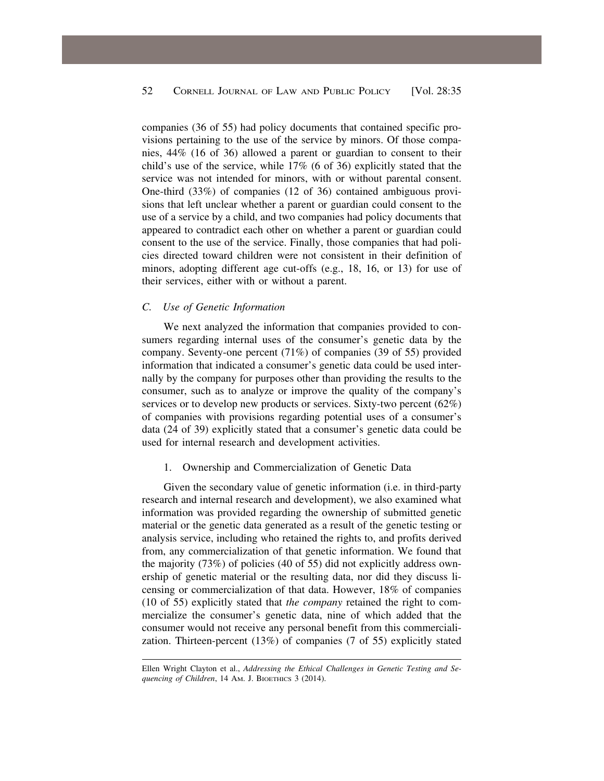<span id="page-17-0"></span>companies (36 of 55) had policy documents that contained specific provisions pertaining to the use of the service by minors. Of those companies, 44% (16 of 36) allowed a parent or guardian to consent to their child's use of the service, while 17% (6 of 36) explicitly stated that the service was not intended for minors, with or without parental consent. One-third (33%) of companies (12 of 36) contained ambiguous provisions that left unclear whether a parent or guardian could consent to the use of a service by a child, and two companies had policy documents that appeared to contradict each other on whether a parent or guardian could consent to the use of the service. Finally, those companies that had policies directed toward children were not consistent in their definition of minors, adopting different age cut-offs (e.g., 18, 16, or 13) for use of their services, either with or without a parent.

## *C. Use of Genetic Information*

We next analyzed the information that companies provided to consumers regarding internal uses of the consumer's genetic data by the company. Seventy-one percent (71%) of companies (39 of 55) provided information that indicated a consumer's genetic data could be used internally by the company for purposes other than providing the results to the consumer, such as to analyze or improve the quality of the company's services or to develop new products or services. Sixty-two percent (62%) of companies with provisions regarding potential uses of a consumer's data (24 of 39) explicitly stated that a consumer's genetic data could be used for internal research and development activities.

#### 1. Ownership and Commercialization of Genetic Data

Given the secondary value of genetic information (i.e. in third-party research and internal research and development), we also examined what information was provided regarding the ownership of submitted genetic material or the genetic data generated as a result of the genetic testing or analysis service, including who retained the rights to, and profits derived from, any commercialization of that genetic information. We found that the majority (73%) of policies (40 of 55) did not explicitly address ownership of genetic material or the resulting data, nor did they discuss licensing or commercialization of that data. However, 18% of companies (10 of 55) explicitly stated that *the company* retained the right to commercialize the consumer's genetic data, nine of which added that the consumer would not receive any personal benefit from this commercialization. Thirteen-percent (13%) of companies (7 of 55) explicitly stated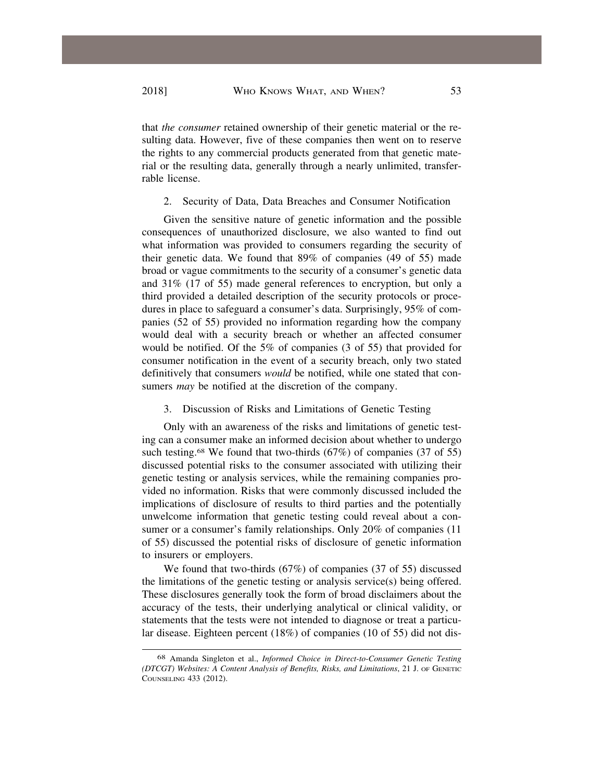that *the consumer* retained ownership of their genetic material or the resulting data. However, five of these companies then went on to reserve the rights to any commercial products generated from that genetic material or the resulting data, generally through a nearly unlimited, transferrable license.

# 2. Security of Data, Data Breaches and Consumer Notification

Given the sensitive nature of genetic information and the possible consequences of unauthorized disclosure, we also wanted to find out what information was provided to consumers regarding the security of their genetic data. We found that 89% of companies (49 of 55) made broad or vague commitments to the security of a consumer's genetic data and 31% (17 of 55) made general references to encryption, but only a third provided a detailed description of the security protocols or procedures in place to safeguard a consumer's data. Surprisingly, 95% of companies (52 of 55) provided no information regarding how the company would deal with a security breach or whether an affected consumer would be notified. Of the 5% of companies (3 of 55) that provided for consumer notification in the event of a security breach, only two stated definitively that consumers *would* be notified, while one stated that consumers *may* be notified at the discretion of the company.

# 3. Discussion of Risks and Limitations of Genetic Testing

Only with an awareness of the risks and limitations of genetic testing can a consumer make an informed decision about whether to undergo such testing.<sup>68</sup> We found that two-thirds (67%) of companies (37 of 55) discussed potential risks to the consumer associated with utilizing their genetic testing or analysis services, while the remaining companies provided no information. Risks that were commonly discussed included the implications of disclosure of results to third parties and the potentially unwelcome information that genetic testing could reveal about a consumer or a consumer's family relationships. Only 20% of companies (11 of 55) discussed the potential risks of disclosure of genetic information to insurers or employers.

We found that two-thirds (67%) of companies (37 of 55) discussed the limitations of the genetic testing or analysis service(s) being offered. These disclosures generally took the form of broad disclaimers about the accuracy of the tests, their underlying analytical or clinical validity, or statements that the tests were not intended to diagnose or treat a particular disease. Eighteen percent (18%) of companies (10 of 55) did not dis-

<sup>68</sup> Amanda Singleton et al., *Informed Choice in Direct-to-Consumer Genetic Testing (DTCGT) Websites: A Content Analysis of Benefits, Risks, and Limitations*, 21 J. OF GENETIC COUNSELING 433 (2012).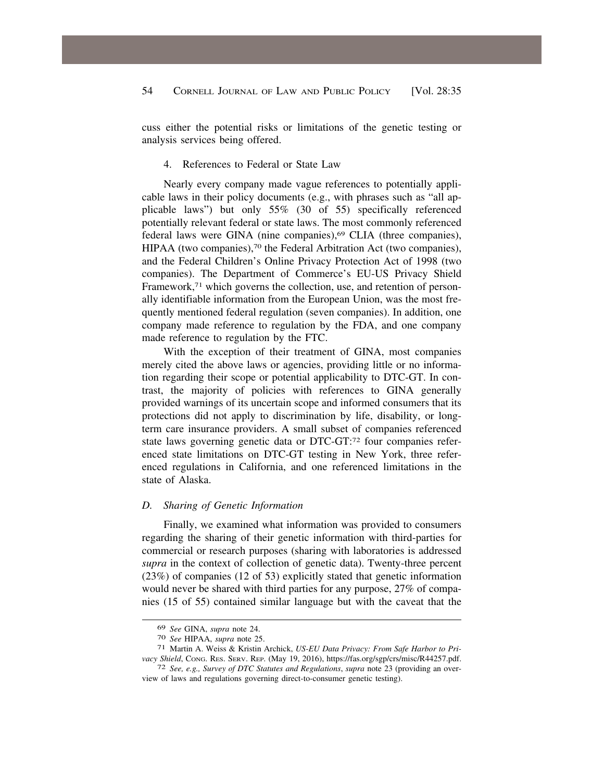<span id="page-19-0"></span>cuss either the potential risks or limitations of the genetic testing or analysis services being offered.

#### 4. References to Federal or State Law

Nearly every company made vague references to potentially applicable laws in their policy documents (e.g., with phrases such as "all applicable laws") but only 55% (30 of 55) specifically referenced potentially relevant federal or state laws. The most commonly referenced federal laws were GINA (nine companies),<sup>69</sup> CLIA (three companies), HIPAA (two companies),<sup>70</sup> the Federal Arbitration Act (two companies), and the Federal Children's Online Privacy Protection Act of 1998 (two companies). The Department of Commerce's EU-US Privacy Shield Framework,<sup>71</sup> which governs the collection, use, and retention of personally identifiable information from the European Union, was the most frequently mentioned federal regulation (seven companies). In addition, one company made reference to regulation by the FDA, and one company made reference to regulation by the FTC.

With the exception of their treatment of GINA, most companies merely cited the above laws or agencies, providing little or no information regarding their scope or potential applicability to DTC-GT. In contrast, the majority of policies with references to GINA generally provided warnings of its uncertain scope and informed consumers that its protections did not apply to discrimination by life, disability, or longterm care insurance providers. A small subset of companies referenced state laws governing genetic data or DTC-GT:72 four companies referenced state limitations on DTC-GT testing in New York, three referenced regulations in California, and one referenced limitations in the state of Alaska.

#### *D. Sharing of Genetic Information*

Finally, we examined what information was provided to consumers regarding the sharing of their genetic information with third-parties for commercial or research purposes (sharing with laboratories is addressed *supra* in the context of collection of genetic data). Twenty-three percent (23%) of companies (12 of 53) explicitly stated that genetic information would never be shared with third parties for any purpose, 27% of companies (15 of 55) contained similar language but with the caveat that the

<sup>69</sup>*See* GINA, *supra* note 24. 70 *See* HIPAA, *supra* note 25. 71 Martin A. Weiss & Kristin Archick, *US-EU Data Privacy: From Safe Harbor to Privacy Shield*, CONG. RES. SERV. REP. (May 19, 2016), [https://fas.org/sgp/crs/misc/R44257.pdf.](https://fas.org/sgp/crs/misc/R44257.pdf) 72 *See, e.g., Survey of DTC Statutes and Regulations*, *supra* note 23 (providing an over-

view of laws and regulations governing direct-to-consumer genetic testing).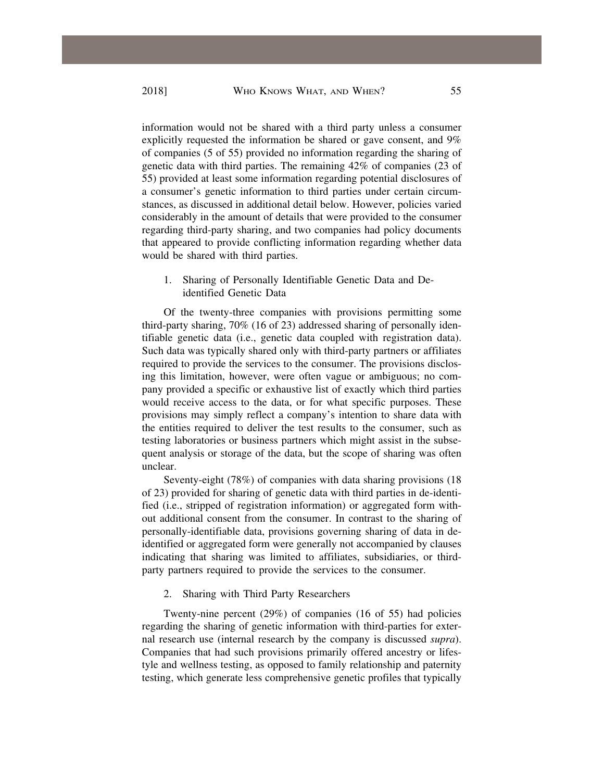information would not be shared with a third party unless a consumer explicitly requested the information be shared or gave consent, and 9% of companies (5 of 55) provided no information regarding the sharing of genetic data with third parties. The remaining 42% of companies (23 of 55) provided at least some information regarding potential disclosures of a consumer's genetic information to third parties under certain circumstances, as discussed in additional detail below. However, policies varied considerably in the amount of details that were provided to the consumer regarding third-party sharing, and two companies had policy documents that appeared to provide conflicting information regarding whether data would be shared with third parties.

1. Sharing of Personally Identifiable Genetic Data and Deidentified Genetic Data

Of the twenty-three companies with provisions permitting some third-party sharing, 70% (16 of 23) addressed sharing of personally identifiable genetic data (i.e., genetic data coupled with registration data). Such data was typically shared only with third-party partners or affiliates required to provide the services to the consumer. The provisions disclosing this limitation, however, were often vague or ambiguous; no company provided a specific or exhaustive list of exactly which third parties would receive access to the data, or for what specific purposes. These provisions may simply reflect a company's intention to share data with the entities required to deliver the test results to the consumer, such as testing laboratories or business partners which might assist in the subsequent analysis or storage of the data, but the scope of sharing was often unclear.

Seventy-eight (78%) of companies with data sharing provisions (18 of 23) provided for sharing of genetic data with third parties in de-identified (i.e., stripped of registration information) or aggregated form without additional consent from the consumer. In contrast to the sharing of personally-identifiable data, provisions governing sharing of data in deidentified or aggregated form were generally not accompanied by clauses indicating that sharing was limited to affiliates, subsidiaries, or thirdparty partners required to provide the services to the consumer.

2. Sharing with Third Party Researchers

Twenty-nine percent (29%) of companies (16 of 55) had policies regarding the sharing of genetic information with third-parties for external research use (internal research by the company is discussed *supra*). Companies that had such provisions primarily offered ancestry or lifestyle and wellness testing, as opposed to family relationship and paternity testing, which generate less comprehensive genetic profiles that typically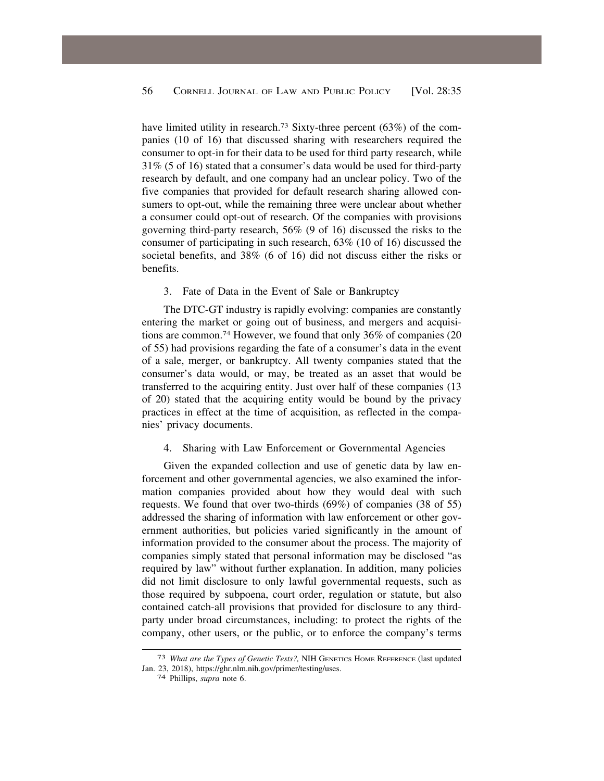<span id="page-21-0"></span>have limited utility in research.<sup>73</sup> Sixty-three percent (63%) of the companies (10 of 16) that discussed sharing with researchers required the consumer to opt-in for their data to be used for third party research, while 31% (5 of 16) stated that a consumer's data would be used for third-party research by default, and one company had an unclear policy. Two of the five companies that provided for default research sharing allowed consumers to opt-out, while the remaining three were unclear about whether a consumer could opt-out of research. Of the companies with provisions governing third-party research, 56% (9 of 16) discussed the risks to the consumer of participating in such research, 63% (10 of 16) discussed the societal benefits, and 38% (6 of 16) did not discuss either the risks or benefits.

# 3. Fate of Data in the Event of Sale or Bankruptcy

The DTC-GT industry is rapidly evolving: companies are constantly entering the market or going out of business, and mergers and acquisitions are [common.74](https://common.74) However, we found that only 36% of companies (20 of 55) had provisions regarding the fate of a consumer's data in the event of a sale, merger, or bankruptcy. All twenty companies stated that the consumer's data would, or may, be treated as an asset that would be transferred to the acquiring entity. Just over half of these companies (13 of 20) stated that the acquiring entity would be bound by the privacy practices in effect at the time of acquisition, as reflected in the companies' privacy documents.

# 4. Sharing with Law Enforcement or Governmental Agencies

Given the expanded collection and use of genetic data by law enforcement and other governmental agencies, we also examined the information companies provided about how they would deal with such requests. We found that over two-thirds (69%) of companies (38 of 55) addressed the sharing of information with law enforcement or other government authorities, but policies varied significantly in the amount of information provided to the consumer about the process. The majority of companies simply stated that personal information may be disclosed "as required by law" without further explanation. In addition, many policies did not limit disclosure to only lawful governmental requests, such as those required by subpoena, court order, regulation or statute, but also contained catch-all provisions that provided for disclosure to any thirdparty under broad circumstances, including: to protect the rights of the company, other users, or the public, or to enforce the company's terms

<sup>73</sup> *What are the Types of Genetic Tests?,* NIH GENETICS HOME REFERENCE (last updated Jan. 23, 2018), <https://ghr.nlm.nih.gov/primer/testing/uses>. 74 Phillips, *supra* note 6.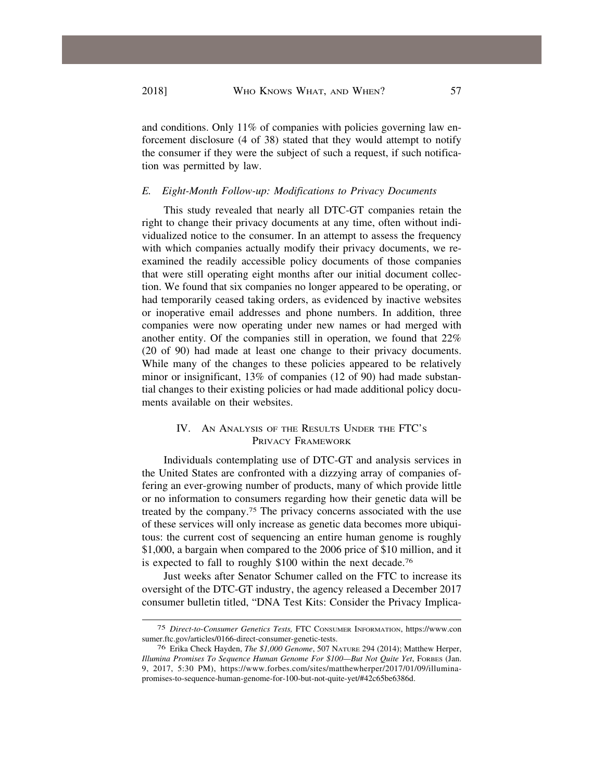and conditions. Only 11% of companies with policies governing law enforcement disclosure (4 of 38) stated that they would attempt to notify the consumer if they were the subject of such a request, if such notification was permitted by law.

## *E. Eight-Month Follow-up: Modifications to Privacy Documents*

This study revealed that nearly all DTC-GT companies retain the right to change their privacy documents at any time, often without individualized notice to the consumer. In an attempt to assess the frequency with which companies actually modify their privacy documents, we reexamined the readily accessible policy documents of those companies that were still operating eight months after our initial document collection. We found that six companies no longer appeared to be operating, or had temporarily ceased taking orders, as evidenced by inactive websites or inoperative email addresses and phone numbers. In addition, three companies were now operating under new names or had merged with another entity. Of the companies still in operation, we found that 22% (20 of 90) had made at least one change to their privacy documents. While many of the changes to these policies appeared to be relatively minor or insignificant, 13% of companies (12 of 90) had made substantial changes to their existing policies or had made additional policy documents available on their websites.

# IV. AN ANALYSIS OF THE RESULTS UNDER THE FTC'S PRIVACY FRAMEWORK

Individuals contemplating use of DTC-GT and analysis services in the United States are confronted with a dizzying array of companies offering an ever-growing number of products, many of which provide little or no information to consumers regarding how their genetic data will be treated by the [company.75](https://company.75) The privacy concerns associated with the use of these services will only increase as genetic data becomes more ubiquitous: the current cost of sequencing an entire human genome is roughly \$1,000, a bargain when compared to the 2006 price of \$10 million, and it is expected to fall to roughly \$100 within the next decade.<sup>76</sup>

Just weeks after Senator Schumer called on the FTC to increase its oversight of the DTC-GT industry, the agency released a December 2017 consumer bulletin titled, "DNA Test Kits: Consider the Privacy Implica-

<sup>75</sup> *Direct-to-Consumer Genetics Tests,* FTC CONSUMER INFORMATION, <https://www.con> [sumer.ftc.gov/articles/0166-direct-consumer-genetic-tests](https://sumer.ftc.gov/articles/0166-direct-consumer-genetic-tests). 76 Erika Check Hayden, *The \$1,000 Genome*, 507 NATURE 294 (2014); Matthew Herper,

*Illumina Promises To Sequence Human Genome For \$100—But Not Quite Yet*, FORBES (Jan. 9, 2017, 5:30 PM), <https://www.forbes.com/sites/matthewherper/2017/01/09/illumina>promises-to-sequence-human-genome-for-100-but-not-quite-yet/#42c65be6386d.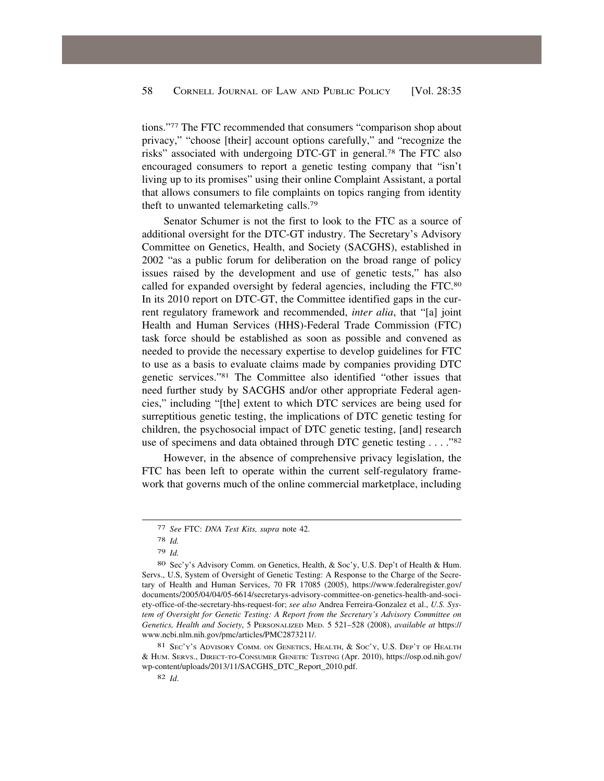tions."77 The FTC recommended that consumers "comparison shop about privacy," "choose [their] account options carefully," and "recognize the risks" associated with undergoing DTC-GT in [general.78](https://general.78) The FTC also encouraged consumers to report a genetic testing company that "isn't living up to its promises" using their online Complaint Assistant, a portal that allows consumers to file complaints on topics ranging from identity theft to unwanted telemarketing [calls.79](https://calls.79)

Senator Schumer is not the first to look to the FTC as a source of additional oversight for the DTC-GT industry. The Secretary's Advisory Committee on Genetics, Health, and Society (SACGHS), established in 2002 "as a public forum for deliberation on the broad range of policy issues raised by the development and use of genetic tests," has also called for expanded oversight by federal agencies, including the FTC.80 In its 2010 report on DTC-GT, the Committee identified gaps in the current regulatory framework and recommended, *inter alia*, that "[a] joint Health and Human Services (HHS)-Federal Trade Commission (FTC) task force should be established as soon as possible and convened as needed to provide the necessary expertise to develop guidelines for FTC to use as a basis to evaluate claims made by companies providing DTC genetic services."81 The Committee also identified "other issues that need further study by SACGHS and/or other appropriate Federal agencies," including "[the] extent to which DTC services are being used for surreptitious genetic testing, the implications of DTC genetic testing for children, the psychosocial impact of DTC genetic testing, [and] research use of specimens and data obtained through DTC genetic testing . . . ."82

However, in the absence of comprehensive privacy legislation, the FTC has been left to operate within the current self-regulatory framework that governs much of the online commercial marketplace, including

81 SEC'Y'S ADVISORY COMM. ON GENETICS, HEALTH, & SOC'Y, U.S. DEP'T OF HEALTH & HUM. SERVS., DIRECT-TO-CONSUMER GENETIC TESTING (Apr. 2010), [https://osp.od.nih.gov/](https://osp.od.nih.gov) wp-content/uploads/2013/11/SACGHS\_DTC\_Report\_2010.pdf.

<sup>77</sup> *See* FTC: *DNA Test Kits, supra* note 42.

<sup>78</sup> *Id.* 

<sup>79</sup> *Id.* 

<sup>80</sup> Sec'y's Advisory Comm. on Genetics, Health, & Soc'y, U.S. Dep't of Health & Hum. Servs., U.S, System of Oversight of Genetic Testing: A Response to the Charge of the Secretary of Health and Human Services, 70 FR 17085 (2005), [https://www.federalregister.gov/](https://www.federalregister.gov) documents/2005/04/04/05-6614/secretarys-advisory-committee-on-genetics-health-and-society-office-of-the-secretary-hhs-request-for; *see also* Andrea Ferreira-Gonzalez et al., *U.S. System of Oversight for Genetic Testing: A Report from the Secretary's Advisory Committee on Genetics, Health and Society*, 5 PERSONALIZED MED. 5 521–528 (2008), *available at* https:// <www.ncbi.nlm.nih.gov/pmc/articles/PMC2873211>/.

<sup>82</sup> *Id*.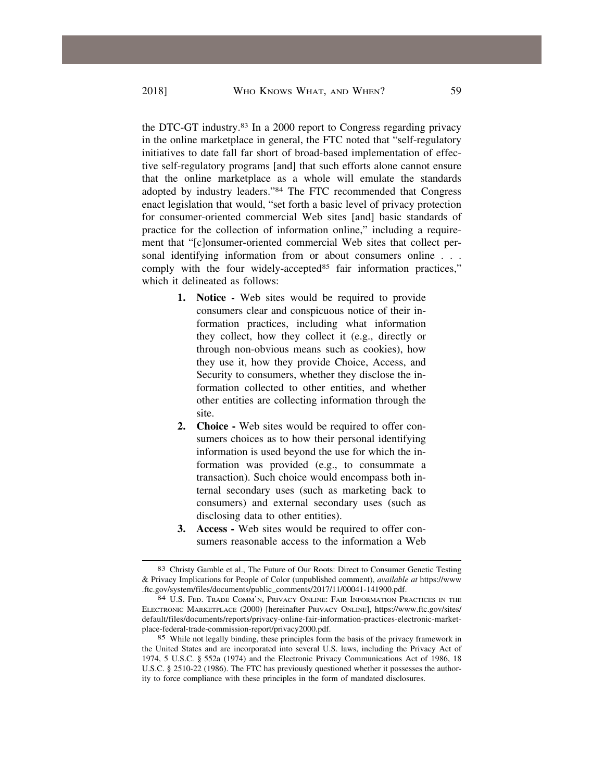the DTC-GT [industry.83](https://industry.83) In a 2000 report to Congress regarding privacy in the online marketplace in general, the FTC noted that "self-regulatory initiatives to date fall far short of broad-based implementation of effective self-regulatory programs [and] that such efforts alone cannot ensure that the online marketplace as a whole will emulate the standards adopted by industry leaders."84 The FTC recommended that Congress enact legislation that would, "set forth a basic level of privacy protection for consumer-oriented commercial Web sites [and] basic standards of practice for the collection of information online," including a requirement that "[c]onsumer-oriented commercial Web sites that collect personal identifying information from or about consumers online . . . comply with the four widely-accepted<sup>85</sup> fair information practices," which it delineated as follows:

- **1. Notice -** Web sites would be required to provide consumers clear and conspicuous notice of their information practices, including what information they collect, how they collect it (e.g., directly or through non-obvious means such as cookies), how they use it, how they provide Choice, Access, and Security to consumers, whether they disclose the information collected to other entities, and whether other entities are collecting information through the site.
- **2. Choice -** Web sites would be required to offer consumers choices as to how their personal identifying information is used beyond the use for which the information was provided (e.g., to consummate a transaction). Such choice would encompass both internal secondary uses (such as marketing back to consumers) and external secondary uses (such as disclosing data to other entities).
- **3. Access -** Web sites would be required to offer consumers reasonable access to the information a Web

<sup>83</sup> Christy Gamble et al., The Future of Our Roots: Direct to Consumer Genetic Testing & Privacy Implications for People of Color (unpublished comment), *available at* <https://www> [.ftc.gov/system/files/documents/public\\_comments/2017/11/00041-141900.pdf.](https://ftc.gov/system/files/documents/public_comments/2017/11/00041-141900.pdf) 84 U.S. FED. TRADE COMM'N, PRIVACY ONLINE: FAIR INFORMATION PRACTICES IN THE

ELECTRONIC MARKETPLACE (2000) [hereinafter PRIVACY ONLINE], [https://www.ftc.gov/sites/](https://www.ftc.gov/sites) default/files/documents/reports/privacy-online-fair-information-practices-electronic-marketplace-federal-trade-commission-report/privacy2000.pdf.

<sup>85</sup> While not legally binding, these principles form the basis of the privacy framework in the United States and are incorporated into several U.S. laws, including the Privacy Act of 1974, 5 U.S.C. § 552a (1974) and the Electronic Privacy Communications Act of 1986, 18 U.S.C. § 2510-22 (1986). The FTC has previously questioned whether it possesses the authority to force compliance with these principles in the form of mandated disclosures.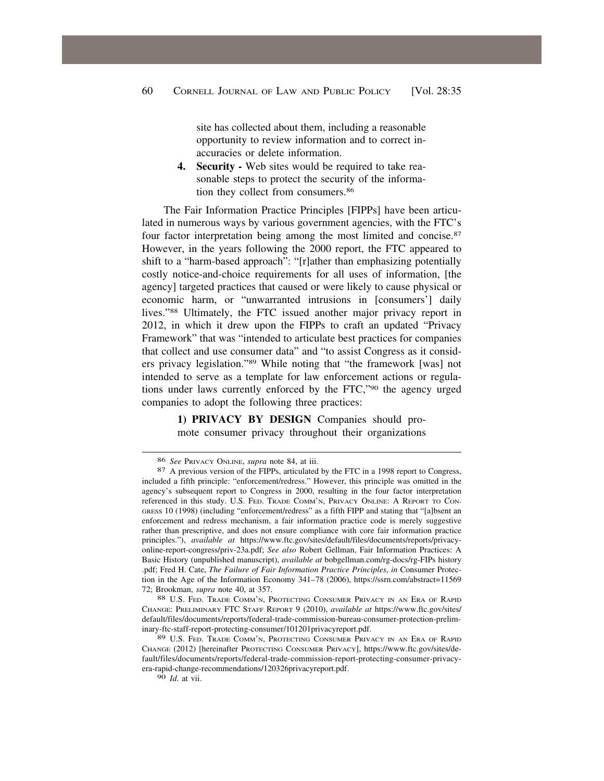site has collected about them, including a reasonable opportunity to review information and to correct inaccuracies or delete information.

**4. Security -** Web sites would be required to take reasonable steps to protect the security of the information they collect from consumers.<sup>86</sup>

The Fair Information Practice Principles [FIPPs] have been articulated in numerous ways by various government agencies, with the FTC's four factor interpretation being among the most limited and [concise.87](https://concise.87)  However, in the years following the 2000 report, the FTC appeared to shift to a "harm-based approach": "[r]ather than emphasizing potentially costly notice-and-choice requirements for all uses of information, [the agency] targeted practices that caused or were likely to cause physical or economic harm, or "unwarranted intrusions in [consumers'] daily lives."88 Ultimately, the FTC issued another major privacy report in 2012, in which it drew upon the FIPPs to craft an updated "Privacy Framework" that was "intended to articulate best practices for companies that collect and use consumer data" and "to assist Congress as it considers privacy legislation."89 While noting that "the framework [was] not intended to serve as a template for law enforcement actions or regulations under laws currently enforced by the FTC,"90 the agency urged companies to adopt the following three practices:

> **1) PRIVACY BY DESIGN** Companies should promote consumer privacy throughout their organizations

<sup>86</sup>*See* PRIVACY ONLINE, *supra* note 84, at iii. 87 A previous version of the FIPPs, articulated by the FTC in a 1998 report to Congress, included a fifth principle: "enforcement/redress." However, this principle was omitted in the agency's subsequent report to Congress in 2000, resulting in the four factor interpretation referenced in this study. U.S. FED. TRADE COMM'N, PRIVACY ONLINE: A REPORT TO CON-GRESS 10 (1998) (including "enforcement/redress" as a fifth FIPP and stating that "[a]bsent an enforcement and redress mechanism, a fair information practice code is merely suggestive rather than prescriptive, and does not ensure compliance with core fair information practice principles."), *available at* <https://www.ftc.gov/sites/default/files/documents/reports/privacy>online-report-congress/priv-23a.pdf; *See also* Robert Gellman, Fair Information Practices: A Basic History (unpublished manuscript), *available at* [bobgellman.com/rg-docs/rg-FIPs](https://bobgellman.com/rg-docs/rg-FIPs) history .pdf; Fred H. Cate, *The Failure of Fair Information Practice Principles*, *in* Consumer Protection in the Age of the Information Economy 341–78 (2006), https://ssrn.com/abstract=11569 72; Brookman, *supra* note 40, at 357.<br><sup>88</sup> U.S. Fed. Trade Comm'n, Protecting Consumer Privacy in an Era of Rapid

CHANGE: PRELIMINARY FTC STAFF REPORT 9 (2010), *available at* [https://www.ftc.gov/sites/](https://www.ftc.gov/sites) default/files/documents/reports/federal-trade-commission-bureau-consumer-protection-preliminary-ftc-staff-report-protecting-consumer/101201privacyreport.pdf.

<sup>89</sup> U.S. FED. TRADE COMM'N, PROTECTING CONSUMER PRIVACY IN AN ERA OF RAPID CHANGE (2012) [hereinafter PROTECTING CONSUMER PRIVACY], <https://www.ftc.gov/sites/de>fault/files/documents/reports/federal-trade-commission-report-protecting-consumer-privacyera-rapid-change-recommendations/120326privacyreport.pdf.

<sup>90</sup> *Id*. at vii.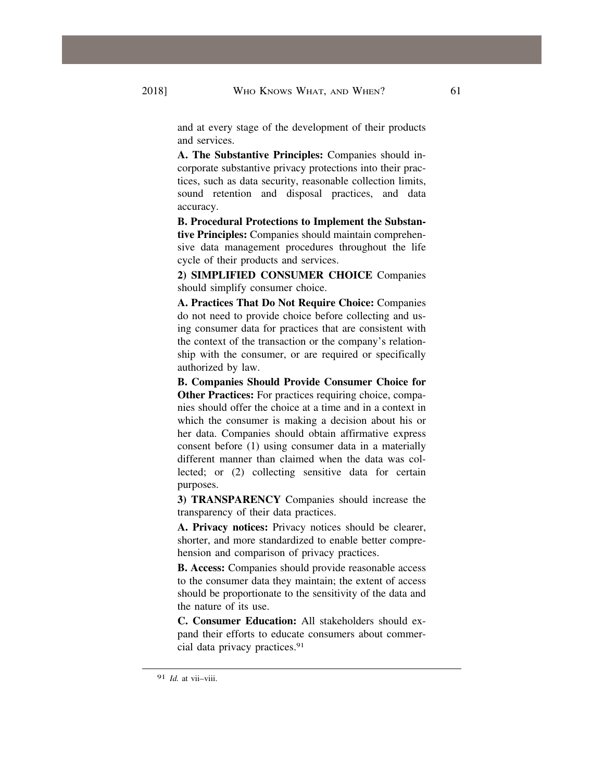and at every stage of the development of their products and services.

**A. The Substantive Principles:** Companies should incorporate substantive privacy protections into their practices, such as data security, reasonable collection limits, sound retention and disposal practices, and data accuracy.

**B. Procedural Protections to Implement the Substantive Principles:** Companies should maintain comprehensive data management procedures throughout the life cycle of their products and services.

**2) SIMPLIFIED CONSUMER CHOICE** Companies should simplify consumer choice.

**A. Practices That Do Not Require Choice:** Companies do not need to provide choice before collecting and using consumer data for practices that are consistent with the context of the transaction or the company's relationship with the consumer, or are required or specifically authorized by law.

**B. Companies Should Provide Consumer Choice for Other Practices:** For practices requiring choice, companies should offer the choice at a time and in a context in which the consumer is making a decision about his or her data. Companies should obtain affirmative express consent before (1) using consumer data in a materially different manner than claimed when the data was collected; or (2) collecting sensitive data for certain purposes.

**3) TRANSPARENCY** Companies should increase the transparency of their data practices.

**A. Privacy notices:** Privacy notices should be clearer, shorter, and more standardized to enable better comprehension and comparison of privacy practices.

**B. Access:** Companies should provide reasonable access to the consumer data they maintain; the extent of access should be proportionate to the sensitivity of the data and the nature of its use.

**C. Consumer Education:** All stakeholders should expand their efforts to educate consumers about commercial data privacy [practices.91](https://practices.91)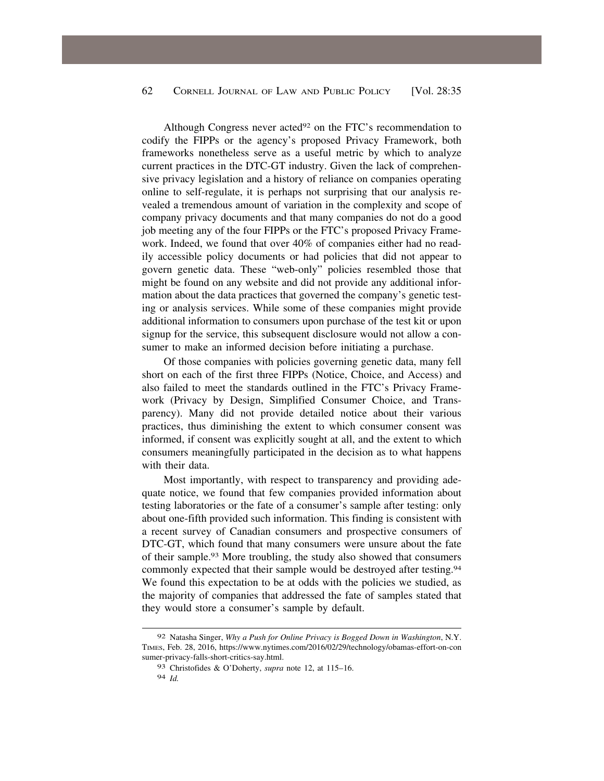Although Congress never acted<sup>92</sup> on the FTC's recommendation to codify the FIPPs or the agency's proposed Privacy Framework, both frameworks nonetheless serve as a useful metric by which to analyze current practices in the DTC-GT industry. Given the lack of comprehensive privacy legislation and a history of reliance on companies operating online to self-regulate, it is perhaps not surprising that our analysis revealed a tremendous amount of variation in the complexity and scope of company privacy documents and that many companies do not do a good job meeting any of the four FIPPs or the FTC's proposed Privacy Framework. Indeed, we found that over 40% of companies either had no readily accessible policy documents or had policies that did not appear to govern genetic data. These "web-only" policies resembled those that might be found on any website and did not provide any additional information about the data practices that governed the company's genetic testing or analysis services. While some of these companies might provide additional information to consumers upon purchase of the test kit or upon signup for the service, this subsequent disclosure would not allow a consumer to make an informed decision before initiating a purchase.

Of those companies with policies governing genetic data, many fell short on each of the first three FIPPs (Notice, Choice, and Access) and also failed to meet the standards outlined in the FTC's Privacy Framework (Privacy by Design, Simplified Consumer Choice, and Transparency). Many did not provide detailed notice about their various practices, thus diminishing the extent to which consumer consent was informed, if consent was explicitly sought at all, and the extent to which consumers meaningfully participated in the decision as to what happens with their data.

Most importantly, with respect to transparency and providing adequate notice, we found that few companies provided information about testing laboratories or the fate of a consumer's sample after testing: only about one-fifth provided such information. This finding is consistent with a recent survey of Canadian consumers and prospective consumers of DTC-GT, which found that many consumers were unsure about the fate of their [sample.93](https://sample.93) More troubling, the study also showed that consumers commonly expected that their sample would be destroyed after [testing.94](https://testing.94)  We found this expectation to be at odds with the policies we studied, as the majority of companies that addressed the fate of samples stated that they would store a consumer's sample by default.

<sup>92</sup> Natasha Singer, *Why a Push for Online Privacy is Bogged Down in Washington*, N.Y. TIMES, Feb. 28, 2016, <https://www.nytimes.com/2016/02/29/technology/obamas-effort-on-con> sumer-privacy-falls-short-critics-say.html.

<sup>93</sup> Christofides & O'Doherty, *supra* note 12, at 115–16. 94 *Id.*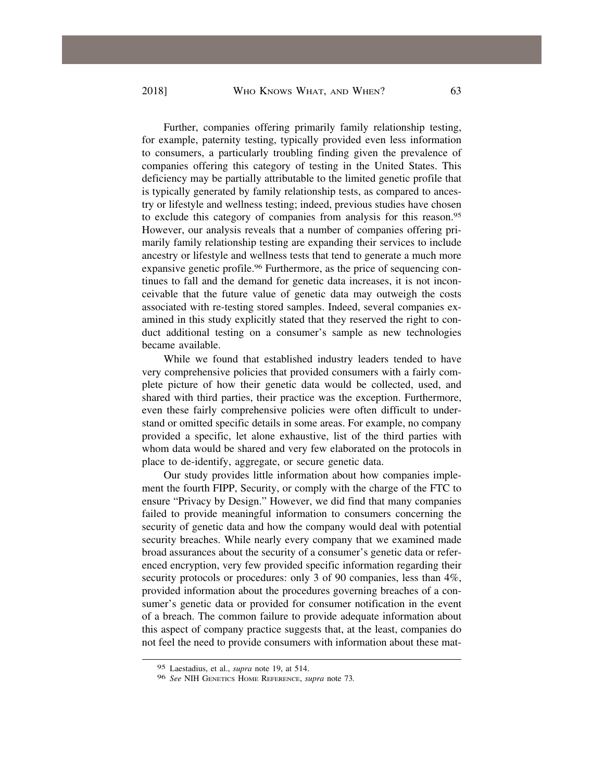Further, companies offering primarily family relationship testing, for example, paternity testing, typically provided even less information to consumers, a particularly troubling finding given the prevalence of companies offering this category of testing in the United States. This deficiency may be partially attributable to the limited genetic profile that is typically generated by family relationship tests, as compared to ancestry or lifestyle and wellness testing; indeed, previous studies have chosen to exclude this category of companies from analysis for this [reason.95](https://reason.95)  However, our analysis reveals that a number of companies offering primarily family relationship testing are expanding their services to include ancestry or lifestyle and wellness tests that tend to generate a much more expansive genetic profile.<sup>96</sup> Furthermore, as the price of sequencing continues to fall and the demand for genetic data increases, it is not inconceivable that the future value of genetic data may outweigh the costs associated with re-testing stored samples. Indeed, several companies examined in this study explicitly stated that they reserved the right to conduct additional testing on a consumer's sample as new technologies became available.

While we found that established industry leaders tended to have very comprehensive policies that provided consumers with a fairly complete picture of how their genetic data would be collected, used, and shared with third parties, their practice was the exception. Furthermore, even these fairly comprehensive policies were often difficult to understand or omitted specific details in some areas. For example, no company provided a specific, let alone exhaustive, list of the third parties with whom data would be shared and very few elaborated on the protocols in place to de-identify, aggregate, or secure genetic data.

Our study provides little information about how companies implement the fourth FIPP, Security, or comply with the charge of the FTC to ensure "Privacy by Design." However, we did find that many companies failed to provide meaningful information to consumers concerning the security of genetic data and how the company would deal with potential security breaches. While nearly every company that we examined made broad assurances about the security of a consumer's genetic data or referenced encryption, very few provided specific information regarding their security protocols or procedures: only 3 of 90 companies, less than 4%, provided information about the procedures governing breaches of a consumer's genetic data or provided for consumer notification in the event of a breach. The common failure to provide adequate information about this aspect of company practice suggests that, at the least, companies do not feel the need to provide consumers with information about these mat-

<sup>95</sup> Laestadius, et al., *supra* note 19, at 514.

<sup>96</sup> *See* NIH GENETICS HOME REFERENCE, *supra* note 73*.*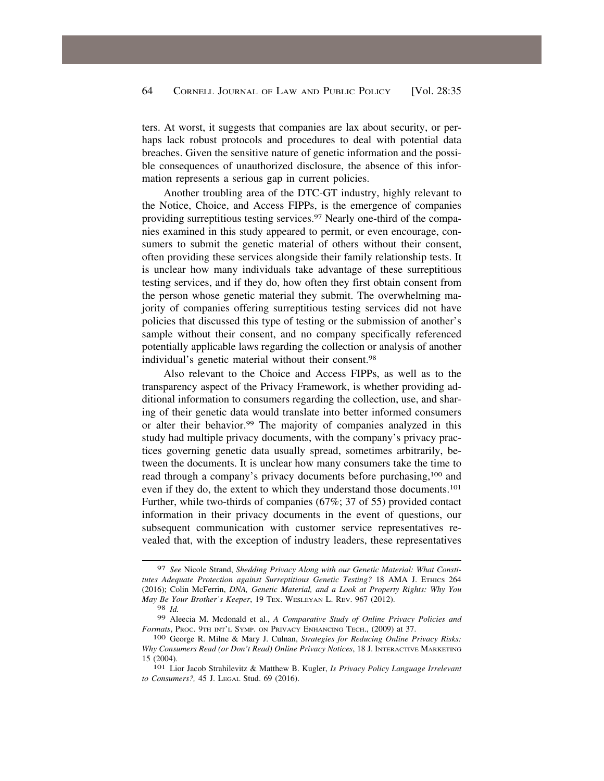ters. At worst, it suggests that companies are lax about security, or perhaps lack robust protocols and procedures to deal with potential data breaches. Given the sensitive nature of genetic information and the possible consequences of unauthorized disclosure, the absence of this information represents a serious gap in current policies.

Another troubling area of the DTC-GT industry, highly relevant to the Notice, Choice, and Access FIPPs, is the emergence of companies providing surreptitious testing services.<sup>97</sup> Nearly one-third of the companies examined in this study appeared to permit, or even encourage, consumers to submit the genetic material of others without their consent, often providing these services alongside their family relationship tests. It is unclear how many individuals take advantage of these surreptitious testing services, and if they do, how often they first obtain consent from the person whose genetic material they submit. The overwhelming majority of companies offering surreptitious testing services did not have policies that discussed this type of testing or the submission of another's sample without their consent, and no company specifically referenced potentially applicable laws regarding the collection or analysis of another individual's genetic material without their [consent.98](https://consent.98) 

Also relevant to the Choice and Access FIPPs, as well as to the transparency aspect of the Privacy Framework, is whether providing additional information to consumers regarding the collection, use, and sharing of their genetic data would translate into better informed consumers or alter their [behavior.99](https://behavior.99) The majority of companies analyzed in this study had multiple privacy documents, with the company's privacy practices governing genetic data usually spread, sometimes arbitrarily, between the documents. It is unclear how many consumers take the time to read through a company's privacy documents before purchasing,100 and even if they do, the extent to which they understand those documents.101 Further, while two-thirds of companies (67%; 37 of 55) provided contact information in their privacy documents in the event of questions, our subsequent communication with customer service representatives revealed that, with the exception of industry leaders, these representatives

<sup>97</sup> *See* Nicole Strand, *Shedding Privacy Along with our Genetic Material: What Constitutes Adequate Protection against Surreptitious Genetic Testing?* 18 AMA J. ETHICS 264 (2016); Colin McFerrin, *DNA, Genetic Material, and a Look at Property Rights: Why You May Be Your Brother's Keeper*, 19 TEX. WESLEYAN L. REV. 967 (2012).

<sup>98</sup> *Id.* 

<sup>99</sup> Aleecia M. Mcdonald et al., *A Comparative Study of Online Privacy Policies and Formats*, PROC. 9TH INT'L SYMP. ON PRIVACY ENHANCING TECH., (2009) at 37. 100 George R. Milne & Mary J. Culnan, *Strategies for Reducing Online Privacy Risks:* 

*Why Consumers Read (or Don't Read) Online Privacy Notices*, 18 J. INTERACTIVE MARKETING 15 (2004). 101 Lior Jacob Strahilevitz & Matthew B. Kugler, *Is Privacy Policy Language Irrelevant* 

*to Consumers?,* 45 J. LEGAL Stud. 69 (2016).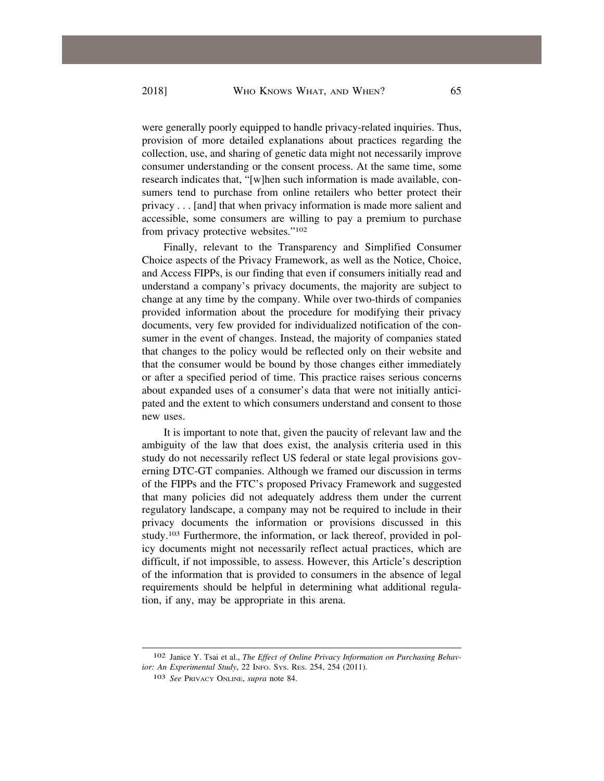were generally poorly equipped to handle privacy-related inquiries. Thus, provision of more detailed explanations about practices regarding the collection, use, and sharing of genetic data might not necessarily improve consumer understanding or the consent process. At the same time, some research indicates that, "[w]hen such information is made available, consumers tend to purchase from online retailers who better protect their privacy . . . [and] that when privacy information is made more salient and accessible, some consumers are willing to pay a premium to purchase from privacy protective websites."102

Finally, relevant to the Transparency and Simplified Consumer Choice aspects of the Privacy Framework, as well as the Notice, Choice, and Access FIPPs, is our finding that even if consumers initially read and understand a company's privacy documents, the majority are subject to change at any time by the company. While over two-thirds of companies provided information about the procedure for modifying their privacy documents, very few provided for individualized notification of the consumer in the event of changes. Instead, the majority of companies stated that changes to the policy would be reflected only on their website and that the consumer would be bound by those changes either immediately or after a specified period of time. This practice raises serious concerns about expanded uses of a consumer's data that were not initially anticipated and the extent to which consumers understand and consent to those new uses.

It is important to note that, given the paucity of relevant law and the ambiguity of the law that does exist, the analysis criteria used in this study do not necessarily reflect US federal or state legal provisions governing DTC-GT companies. Although we framed our discussion in terms of the FIPPs and the FTC's proposed Privacy Framework and suggested that many policies did not adequately address them under the current regulatory landscape, a company may not be required to include in their privacy documents the information or provisions discussed in this study.103 Furthermore, the information, or lack thereof, provided in policy documents might not necessarily reflect actual practices, which are difficult, if not impossible, to assess. However, this Article's description of the information that is provided to consumers in the absence of legal requirements should be helpful in determining what additional regulation, if any, may be appropriate in this arena.

<sup>102</sup> Janice Y. Tsai et al., *The Effect of Online Privacy Information on Purchasing Behavior: An Experimental Study*, 22 INFO. SYS. RES. 254, 254 (2011).

<sup>103</sup> *See* PRIVACY ONLINE, *supra* note 84.